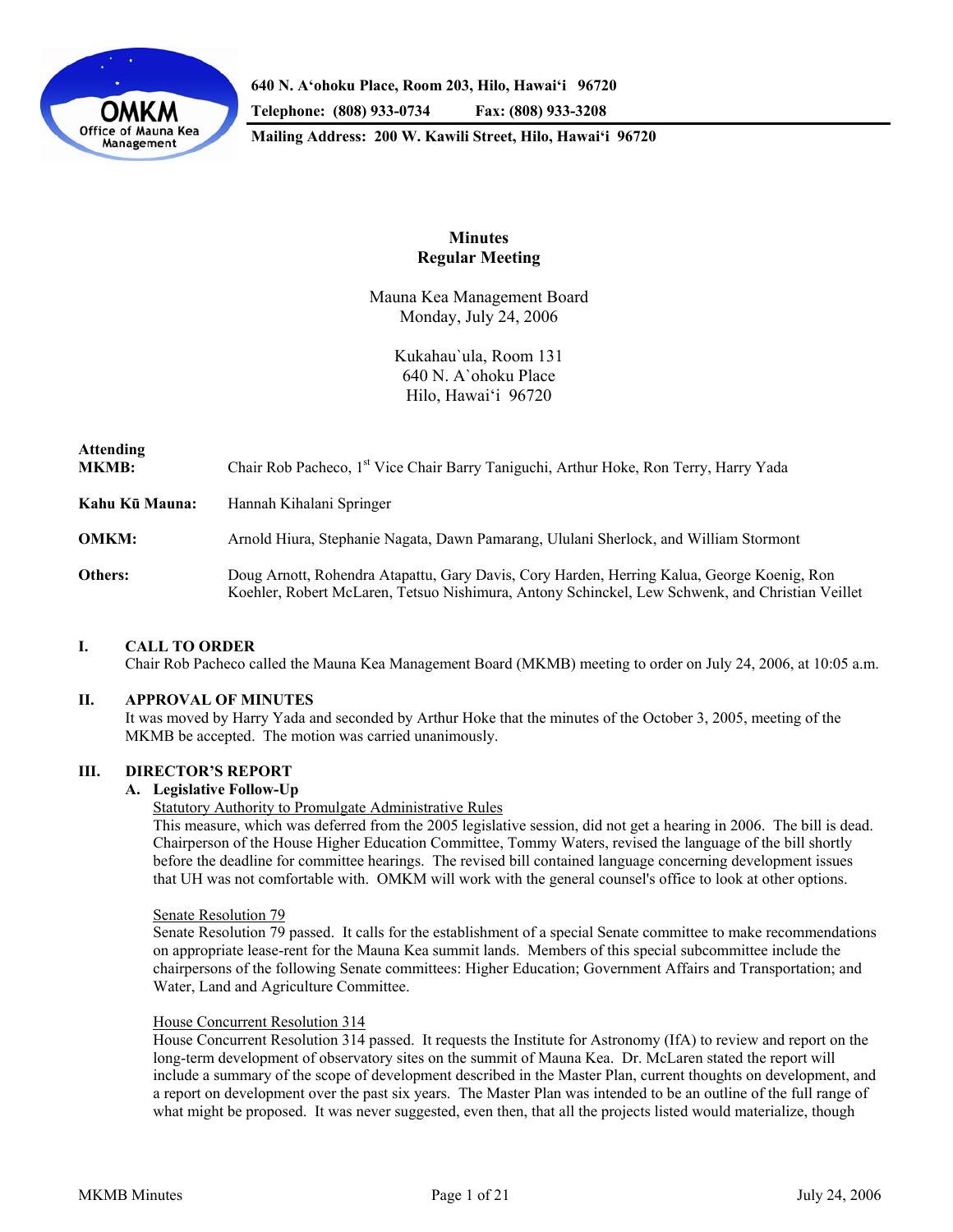

**640 N. A'ohoku Place, Room 203, Hilo, Hawai'i 96720 Telephone: (808) 933-0734 Fax: (808) 933-3208 Mailing Address: 200 W. Kawili Street, Hilo, Hawai'i 96720** 

# **Minutes Regular Meeting**

Mauna Kea Management Board Monday, July 24, 2006

> Kukahau`ula, Room 131 640 N. A`ohoku Place Hilo, Hawai'i 96720

| <b>Attending</b><br><b>MKMB:</b> | Chair Rob Pacheco, 1 <sup>st</sup> Vice Chair Barry Taniguchi, Arthur Hoke, Ron Terry, Harry Yada                                                                                             |
|----------------------------------|-----------------------------------------------------------------------------------------------------------------------------------------------------------------------------------------------|
| Kahu Kū Mauna:                   | Hannah Kihalani Springer                                                                                                                                                                      |
| <b>OMKM:</b>                     | Arnold Hiura, Stephanie Nagata, Dawn Pamarang, Ululani Sherlock, and William Stormont                                                                                                         |
| Others:                          | Doug Arnott, Rohendra Atapattu, Gary Davis, Cory Harden, Herring Kalua, George Koenig, Ron<br>Koehler, Robert McLaren, Tetsuo Nishimura, Antony Schinckel, Lew Schwenk, and Christian Veillet |

## **I. CALL TO ORDER**

Chair Rob Pacheco called the Mauna Kea Management Board (MKMB) meeting to order on July 24, 2006, at 10:05 a.m.

## **II. APPROVAL OF MINUTES**

 It was moved by Harry Yada and seconded by Arthur Hoke that the minutes of the October 3, 2005, meeting of the MKMB be accepted. The motion was carried unanimously.

# **III. DIRECTOR'S REPORT**

## **A. Legislative Follow-Up**

Statutory Authority to Promulgate Administrative Rules

This measure, which was deferred from the 2005 legislative session, did not get a hearing in 2006. The bill is dead. Chairperson of the House Higher Education Committee, Tommy Waters, revised the language of the bill shortly before the deadline for committee hearings. The revised bill contained language concerning development issues that UH was not comfortable with. OMKM will work with the general counsel's office to look at other options.

#### Senate Resolution 79

Senate Resolution 79 passed. It calls for the establishment of a special Senate committee to make recommendations on appropriate lease-rent for the Mauna Kea summit lands. Members of this special subcommittee include the chairpersons of the following Senate committees: Higher Education; Government Affairs and Transportation; and Water, Land and Agriculture Committee.

#### House Concurrent Resolution 314

House Concurrent Resolution 314 passed. It requests the Institute for Astronomy (IfA) to review and report on the long-term development of observatory sites on the summit of Mauna Kea. Dr. McLaren stated the report will include a summary of the scope of development described in the Master Plan, current thoughts on development, and a report on development over the past six years. The Master Plan was intended to be an outline of the full range of what might be proposed. It was never suggested, even then, that all the projects listed would materialize, though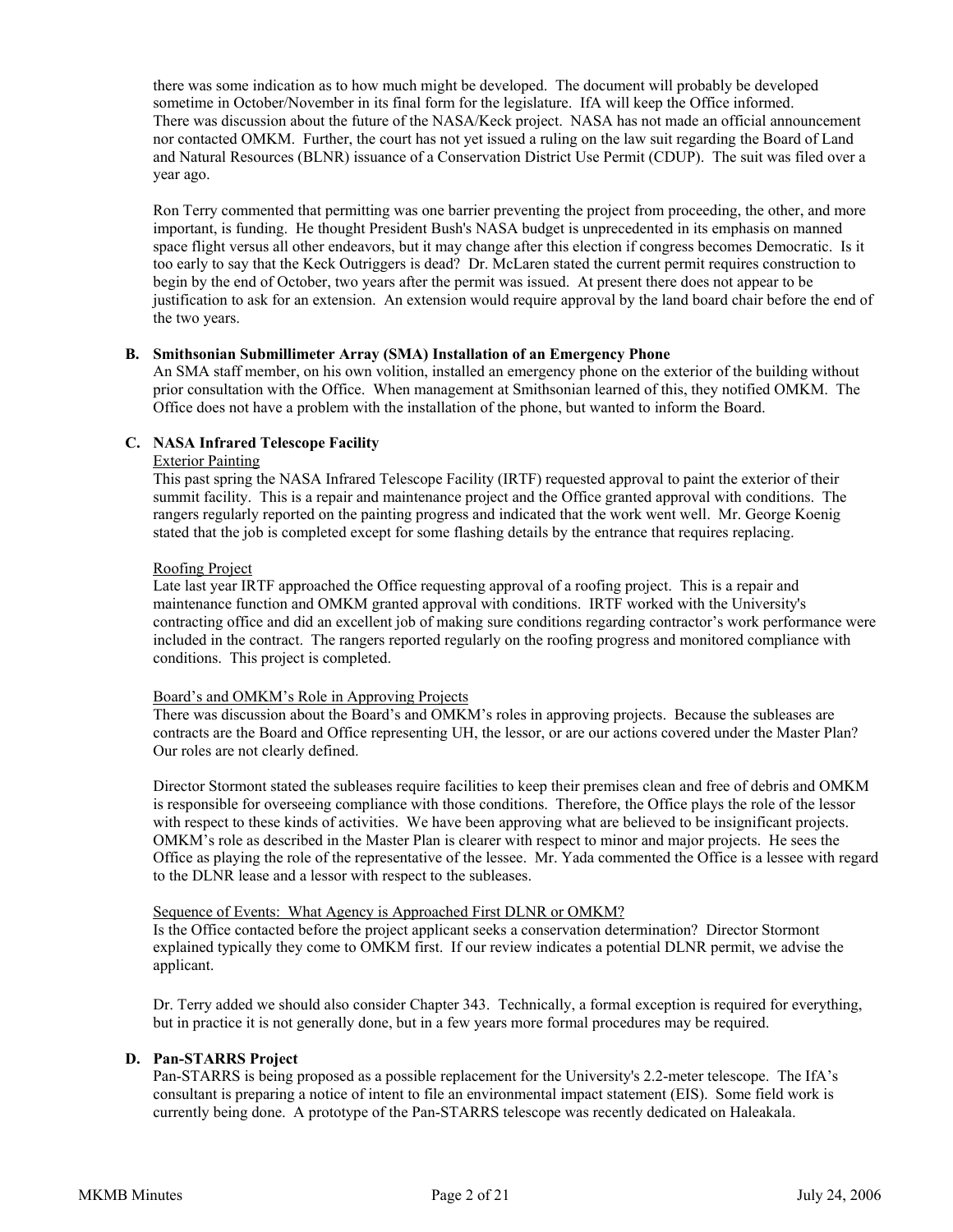there was some indication as to how much might be developed. The document will probably be developed sometime in October/November in its final form for the legislature. IfA will keep the Office informed. There was discussion about the future of the NASA/Keck project. NASA has not made an official announcement nor contacted OMKM. Further, the court has not yet issued a ruling on the law suit regarding the Board of Land and Natural Resources (BLNR) issuance of a Conservation District Use Permit (CDUP). The suit was filed over a year ago.

Ron Terry commented that permitting was one barrier preventing the project from proceeding, the other, and more important, is funding. He thought President Bush's NASA budget is unprecedented in its emphasis on manned space flight versus all other endeavors, but it may change after this election if congress becomes Democratic. Is it too early to say that the Keck Outriggers is dead? Dr. McLaren stated the current permit requires construction to begin by the end of October, two years after the permit was issued. At present there does not appear to be justification to ask for an extension. An extension would require approval by the land board chair before the end of the two years.

## **B. Smithsonian Submillimeter Array (SMA) Installation of an Emergency Phone**

An SMA staff member, on his own volition, installed an emergency phone on the exterior of the building without prior consultation with the Office. When management at Smithsonian learned of this, they notified OMKM. The Office does not have a problem with the installation of the phone, but wanted to inform the Board.

### **C. NASA Infrared Telescope Facility**

## Exterior Painting

This past spring the NASA Infrared Telescope Facility (IRTF) requested approval to paint the exterior of their summit facility. This is a repair and maintenance project and the Office granted approval with conditions. The rangers regularly reported on the painting progress and indicated that the work went well. Mr. George Koenig stated that the job is completed except for some flashing details by the entrance that requires replacing.

### Roofing Project

Late last year IRTF approached the Office requesting approval of a roofing project. This is a repair and maintenance function and OMKM granted approval with conditions. IRTF worked with the University's contracting office and did an excellent job of making sure conditions regarding contractor's work performance were included in the contract. The rangers reported regularly on the roofing progress and monitored compliance with conditions. This project is completed.

#### Board's and OMKM's Role in Approving Projects

There was discussion about the Board's and OMKM's roles in approving projects. Because the subleases are contracts are the Board and Office representing UH, the lessor, or are our actions covered under the Master Plan? Our roles are not clearly defined.

Director Stormont stated the subleases require facilities to keep their premises clean and free of debris and OMKM is responsible for overseeing compliance with those conditions. Therefore, the Office plays the role of the lessor with respect to these kinds of activities. We have been approving what are believed to be insignificant projects. OMKM's role as described in the Master Plan is clearer with respect to minor and major projects. He sees the Office as playing the role of the representative of the lessee. Mr. Yada commented the Office is a lessee with regard to the DLNR lease and a lessor with respect to the subleases.

#### Sequence of Events: What Agency is Approached First DLNR or OMKM?

Is the Office contacted before the project applicant seeks a conservation determination? Director Stormont explained typically they come to OMKM first. If our review indicates a potential DLNR permit, we advise the applicant.

Dr. Terry added we should also consider Chapter 343. Technically, a formal exception is required for everything, but in practice it is not generally done, but in a few years more formal procedures may be required.

## **D. Pan-STARRS Project**

Pan-STARRS is being proposed as a possible replacement for the University's 2.2-meter telescope. The IfA's consultant is preparing a notice of intent to file an environmental impact statement (EIS). Some field work is currently being done. A prototype of the Pan-STARRS telescope was recently dedicated on Haleakala.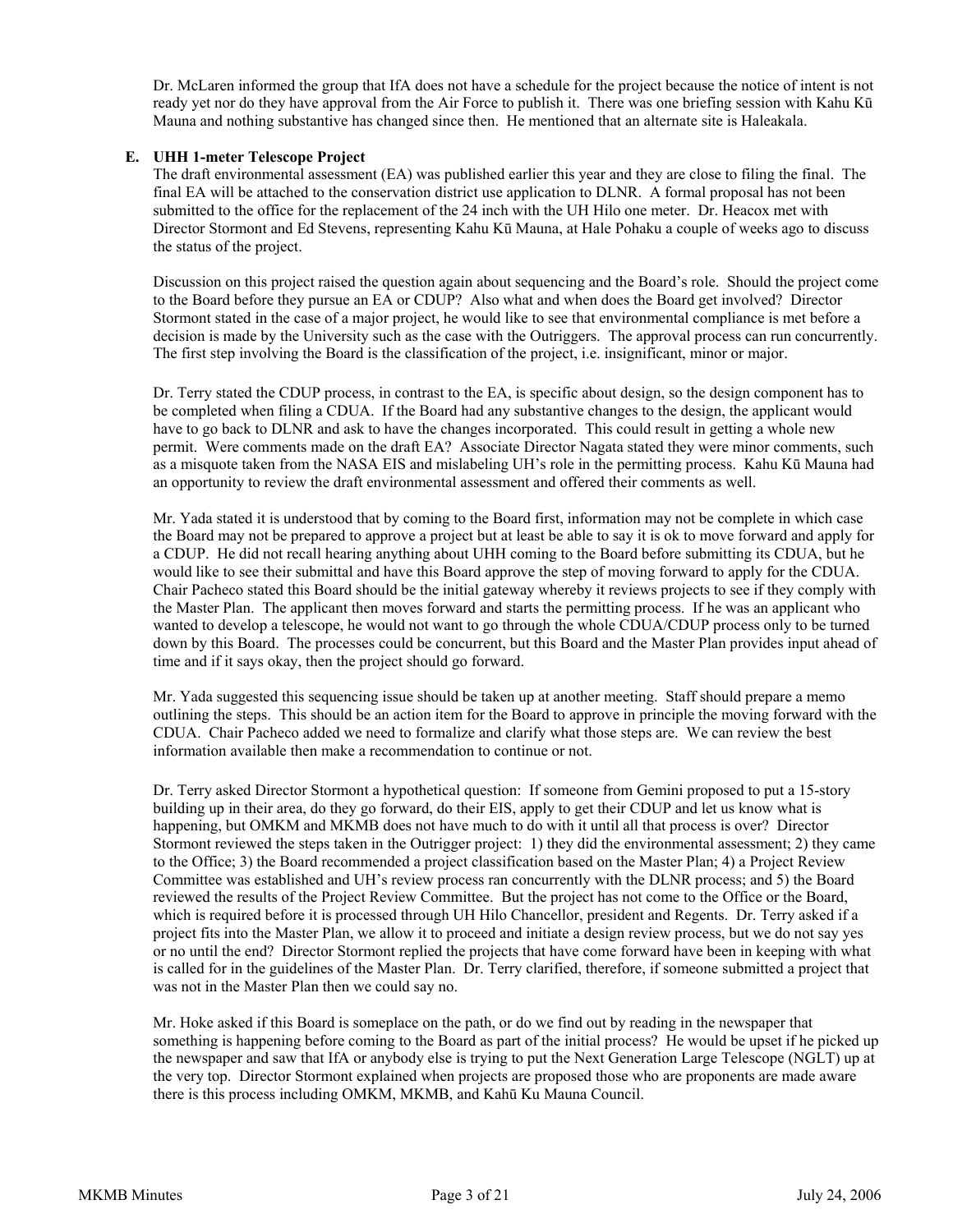Dr. McLaren informed the group that IfA does not have a schedule for the project because the notice of intent is not ready yet nor do they have approval from the Air Force to publish it. There was one briefing session with Kahu Kū Mauna and nothing substantive has changed since then. He mentioned that an alternate site is Haleakala.

## **E. UHH 1-meter Telescope Project**

The draft environmental assessment (EA) was published earlier this year and they are close to filing the final. The final EA will be attached to the conservation district use application to DLNR. A formal proposal has not been submitted to the office for the replacement of the 24 inch with the UH Hilo one meter. Dr. Heacox met with Director Stormont and Ed Stevens, representing Kahu Kū Mauna, at Hale Pohaku a couple of weeks ago to discuss the status of the project.

Discussion on this project raised the question again about sequencing and the Board's role. Should the project come to the Board before they pursue an EA or CDUP? Also what and when does the Board get involved? Director Stormont stated in the case of a major project, he would like to see that environmental compliance is met before a decision is made by the University such as the case with the Outriggers. The approval process can run concurrently. The first step involving the Board is the classification of the project, i.e. insignificant, minor or major.

Dr. Terry stated the CDUP process, in contrast to the EA, is specific about design, so the design component has to be completed when filing a CDUA. If the Board had any substantive changes to the design, the applicant would have to go back to DLNR and ask to have the changes incorporated. This could result in getting a whole new permit. Were comments made on the draft EA? Associate Director Nagata stated they were minor comments, such as a misquote taken from the NASA EIS and mislabeling UH's role in the permitting process. Kahu Kū Mauna had an opportunity to review the draft environmental assessment and offered their comments as well.

Mr. Yada stated it is understood that by coming to the Board first, information may not be complete in which case the Board may not be prepared to approve a project but at least be able to say it is ok to move forward and apply for a CDUP. He did not recall hearing anything about UHH coming to the Board before submitting its CDUA, but he would like to see their submittal and have this Board approve the step of moving forward to apply for the CDUA. Chair Pacheco stated this Board should be the initial gateway whereby it reviews projects to see if they comply with the Master Plan. The applicant then moves forward and starts the permitting process. If he was an applicant who wanted to develop a telescope, he would not want to go through the whole CDUA/CDUP process only to be turned down by this Board. The processes could be concurrent, but this Board and the Master Plan provides input ahead of time and if it says okay, then the project should go forward.

Mr. Yada suggested this sequencing issue should be taken up at another meeting. Staff should prepare a memo outlining the steps. This should be an action item for the Board to approve in principle the moving forward with the CDUA. Chair Pacheco added we need to formalize and clarify what those steps are. We can review the best information available then make a recommendation to continue or not.

Dr. Terry asked Director Stormont a hypothetical question: If someone from Gemini proposed to put a 15-story building up in their area, do they go forward, do their EIS, apply to get their CDUP and let us know what is happening, but OMKM and MKMB does not have much to do with it until all that process is over? Director Stormont reviewed the steps taken in the Outrigger project: 1) they did the environmental assessment; 2) they came to the Office; 3) the Board recommended a project classification based on the Master Plan; 4) a Project Review Committee was established and UH's review process ran concurrently with the DLNR process; and 5) the Board reviewed the results of the Project Review Committee. But the project has not come to the Office or the Board, which is required before it is processed through UH Hilo Chancellor, president and Regents. Dr. Terry asked if a project fits into the Master Plan, we allow it to proceed and initiate a design review process, but we do not say yes or no until the end? Director Stormont replied the projects that have come forward have been in keeping with what is called for in the guidelines of the Master Plan. Dr. Terry clarified, therefore, if someone submitted a project that was not in the Master Plan then we could say no.

Mr. Hoke asked if this Board is someplace on the path, or do we find out by reading in the newspaper that something is happening before coming to the Board as part of the initial process? He would be upset if he picked up the newspaper and saw that IfA or anybody else is trying to put the Next Generation Large Telescope (NGLT) up at the very top. Director Stormont explained when projects are proposed those who are proponents are made aware there is this process including OMKM, MKMB, and Kahū Ku Mauna Council.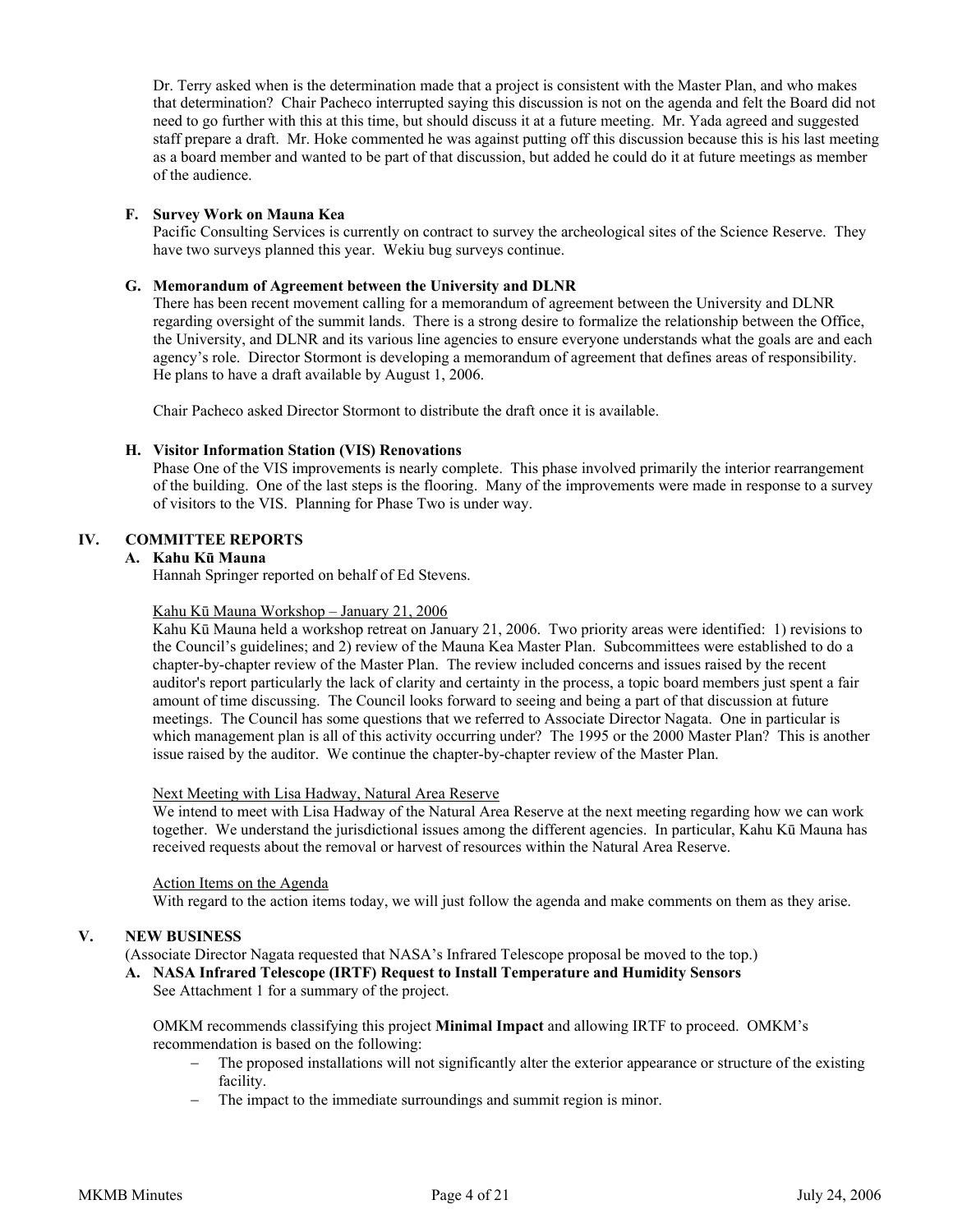Dr. Terry asked when is the determination made that a project is consistent with the Master Plan, and who makes that determination? Chair Pacheco interrupted saying this discussion is not on the agenda and felt the Board did not need to go further with this at this time, but should discuss it at a future meeting. Mr. Yada agreed and suggested staff prepare a draft. Mr. Hoke commented he was against putting off this discussion because this is his last meeting as a board member and wanted to be part of that discussion, but added he could do it at future meetings as member of the audience.

### **F. Survey Work on Mauna Kea**

Pacific Consulting Services is currently on contract to survey the archeological sites of the Science Reserve. They have two surveys planned this year. Wekiu bug surveys continue.

#### **G. Memorandum of Agreement between the University and DLNR**

There has been recent movement calling for a memorandum of agreement between the University and DLNR regarding oversight of the summit lands. There is a strong desire to formalize the relationship between the Office, the University, and DLNR and its various line agencies to ensure everyone understands what the goals are and each agency's role. Director Stormont is developing a memorandum of agreement that defines areas of responsibility. He plans to have a draft available by August 1, 2006.

Chair Pacheco asked Director Stormont to distribute the draft once it is available.

### **H. Visitor Information Station (VIS) Renovations**

Phase One of the VIS improvements is nearly complete. This phase involved primarily the interior rearrangement of the building. One of the last steps is the flooring. Many of the improvements were made in response to a survey of visitors to the VIS. Planning for Phase Two is under way.

## **IV. COMMITTEE REPORTS**

# **A. Kahu Kū Mauna**

Hannah Springer reported on behalf of Ed Stevens.

#### Kahu Kū Mauna Workshop – January 21, 2006

Kahu Kū Mauna held a workshop retreat on January 21, 2006. Two priority areas were identified: 1) revisions to the Council's guidelines; and 2) review of the Mauna Kea Master Plan. Subcommittees were established to do a chapter-by-chapter review of the Master Plan. The review included concerns and issues raised by the recent auditor's report particularly the lack of clarity and certainty in the process, a topic board members just spent a fair amount of time discussing. The Council looks forward to seeing and being a part of that discussion at future meetings. The Council has some questions that we referred to Associate Director Nagata. One in particular is which management plan is all of this activity occurring under? The 1995 or the 2000 Master Plan? This is another issue raised by the auditor. We continue the chapter-by-chapter review of the Master Plan.

### Next Meeting with Lisa Hadway, Natural Area Reserve

We intend to meet with Lisa Hadway of the Natural Area Reserve at the next meeting regarding how we can work together. We understand the jurisdictional issues among the different agencies. In particular, Kahu Kū Mauna has received requests about the removal or harvest of resources within the Natural Area Reserve.

#### Action Items on the Agenda

With regard to the action items today, we will just follow the agenda and make comments on them as they arise.

## **V. NEW BUSINESS**

(Associate Director Nagata requested that NASA's Infrared Telescope proposal be moved to the top.)

#### **A. NASA Infrared Telescope (IRTF) Request to Install Temperature and Humidity Sensors** See Attachment 1 for a summary of the project.

OMKM recommends classifying this project **Minimal Impact** and allowing IRTF to proceed. OMKM's recommendation is based on the following:

- The proposed installations will not significantly alter the exterior appearance or structure of the existing facility.
- − The impact to the immediate surroundings and summit region is minor.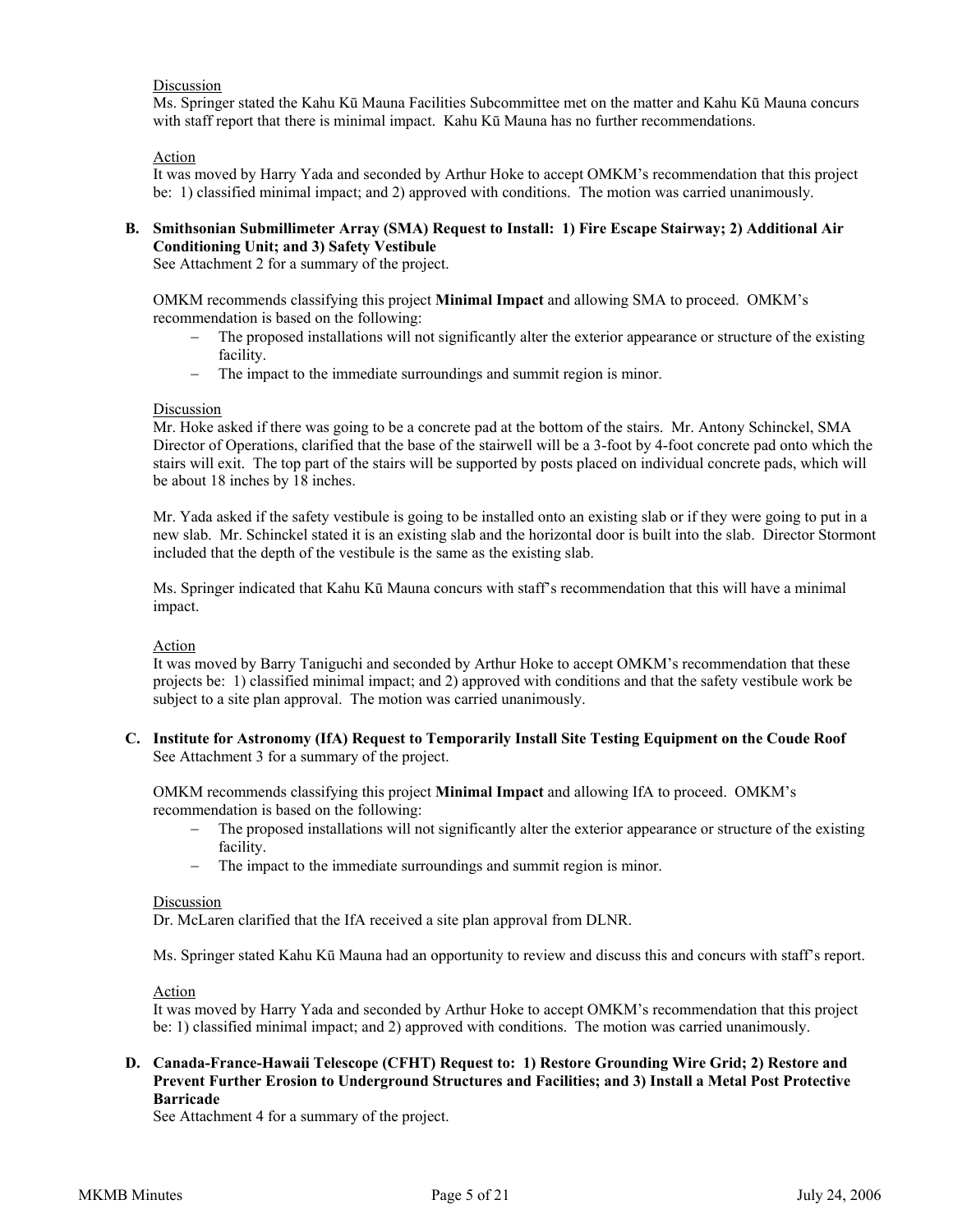## Discussion

Ms. Springer stated the Kahu Kū Mauna Facilities Subcommittee met on the matter and Kahu Kū Mauna concurs with staff report that there is minimal impact. Kahu Kū Mauna has no further recommendations.

Action

It was moved by Harry Yada and seconded by Arthur Hoke to accept OMKM's recommendation that this project be: 1) classified minimal impact; and 2) approved with conditions. The motion was carried unanimously.

## **B. Smithsonian Submillimeter Array (SMA) Request to Install: 1) Fire Escape Stairway; 2) Additional Air Conditioning Unit; and 3) Safety Vestibule**

See Attachment 2 for a summary of the project.

OMKM recommends classifying this project **Minimal Impact** and allowing SMA to proceed. OMKM's recommendation is based on the following:

- − The proposed installations will not significantly alter the exterior appearance or structure of the existing facility.
- − The impact to the immediate surroundings and summit region is minor.

## Discussion

Mr. Hoke asked if there was going to be a concrete pad at the bottom of the stairs. Mr. Antony Schinckel, SMA Director of Operations, clarified that the base of the stairwell will be a 3-foot by 4-foot concrete pad onto which the stairs will exit. The top part of the stairs will be supported by posts placed on individual concrete pads, which will be about 18 inches by 18 inches.

Mr. Yada asked if the safety vestibule is going to be installed onto an existing slab or if they were going to put in a new slab. Mr. Schinckel stated it is an existing slab and the horizontal door is built into the slab. Director Stormont included that the depth of the vestibule is the same as the existing slab.

Ms. Springer indicated that Kahu Kū Mauna concurs with staff's recommendation that this will have a minimal impact.

Action

It was moved by Barry Taniguchi and seconded by Arthur Hoke to accept OMKM's recommendation that these projects be: 1) classified minimal impact; and 2) approved with conditions and that the safety vestibule work be subject to a site plan approval. The motion was carried unanimously.

**C. Institute for Astronomy (IfA) Request to Temporarily Install Site Testing Equipment on the Coude Roof**  See Attachment 3 for a summary of the project.

OMKM recommends classifying this project **Minimal Impact** and allowing IfA to proceed. OMKM's recommendation is based on the following:

- The proposed installations will not significantly alter the exterior appearance or structure of the existing facility.
- − The impact to the immediate surroundings and summit region is minor.

#### Discussion

Dr. McLaren clarified that the IfA received a site plan approval from DLNR.

Ms. Springer stated Kahu Kū Mauna had an opportunity to review and discuss this and concurs with staff's report.

Action

It was moved by Harry Yada and seconded by Arthur Hoke to accept OMKM's recommendation that this project be: 1) classified minimal impact; and 2) approved with conditions. The motion was carried unanimously.

**D. Canada-France-Hawaii Telescope (CFHT) Request to: 1) Restore Grounding Wire Grid; 2) Restore and Prevent Further Erosion to Underground Structures and Facilities; and 3) Install a Metal Post Protective Barricade**

See Attachment 4 for a summary of the project.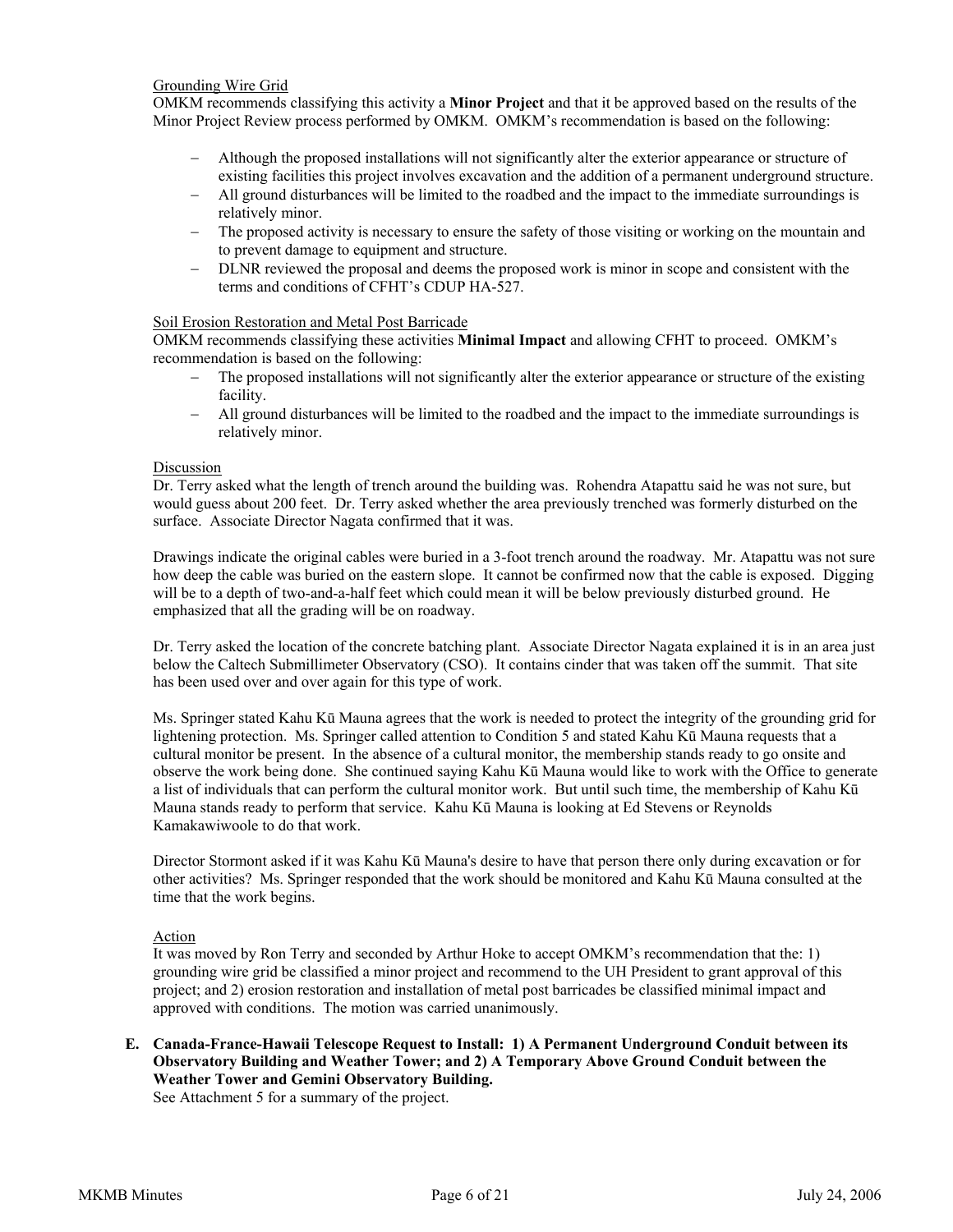## Grounding Wire Grid

OMKM recommends classifying this activity a **Minor Project** and that it be approved based on the results of the Minor Project Review process performed by OMKM. OMKM's recommendation is based on the following:

- Although the proposed installations will not significantly alter the exterior appearance or structure of existing facilities this project involves excavation and the addition of a permanent underground structure.
- − All ground disturbances will be limited to the roadbed and the impact to the immediate surroundings is relatively minor.
- − The proposed activity is necessary to ensure the safety of those visiting or working on the mountain and to prevent damage to equipment and structure.
- DLNR reviewed the proposal and deems the proposed work is minor in scope and consistent with the terms and conditions of CFHT's CDUP HA-527.

### Soil Erosion Restoration and Metal Post Barricade

OMKM recommends classifying these activities **Minimal Impact** and allowing CFHT to proceed. OMKM's recommendation is based on the following:

- The proposed installations will not significantly alter the exterior appearance or structure of the existing facility.
- − All ground disturbances will be limited to the roadbed and the impact to the immediate surroundings is relatively minor.

#### Discussion

Dr. Terry asked what the length of trench around the building was. Rohendra Atapattu said he was not sure, but would guess about 200 feet. Dr. Terry asked whether the area previously trenched was formerly disturbed on the surface. Associate Director Nagata confirmed that it was.

Drawings indicate the original cables were buried in a 3-foot trench around the roadway. Mr. Atapattu was not sure how deep the cable was buried on the eastern slope. It cannot be confirmed now that the cable is exposed. Digging will be to a depth of two-and-a-half feet which could mean it will be below previously disturbed ground. He emphasized that all the grading will be on roadway.

Dr. Terry asked the location of the concrete batching plant. Associate Director Nagata explained it is in an area just below the Caltech Submillimeter Observatory (CSO). It contains cinder that was taken off the summit. That site has been used over and over again for this type of work.

Ms. Springer stated Kahu Kū Mauna agrees that the work is needed to protect the integrity of the grounding grid for lightening protection. Ms. Springer called attention to Condition 5 and stated Kahu Kū Mauna requests that a cultural monitor be present. In the absence of a cultural monitor, the membership stands ready to go onsite and observe the work being done. She continued saying Kahu Kū Mauna would like to work with the Office to generate a list of individuals that can perform the cultural monitor work. But until such time, the membership of Kahu Kū Mauna stands ready to perform that service. Kahu Kū Mauna is looking at Ed Stevens or Reynolds Kamakawiwoole to do that work.

Director Stormont asked if it was Kahu Kū Mauna's desire to have that person there only during excavation or for other activities? Ms. Springer responded that the work should be monitored and Kahu Kū Mauna consulted at the time that the work begins.

## Action

It was moved by Ron Terry and seconded by Arthur Hoke to accept OMKM's recommendation that the: 1) grounding wire grid be classified a minor project and recommend to the UH President to grant approval of this project; and 2) erosion restoration and installation of metal post barricades be classified minimal impact and approved with conditions. The motion was carried unanimously.

**E. Canada-France-Hawaii Telescope Request to Install: 1) A Permanent Underground Conduit between its Observatory Building and Weather Tower; and 2) A Temporary Above Ground Conduit between the Weather Tower and Gemini Observatory Building.** 

See Attachment 5 for a summary of the project.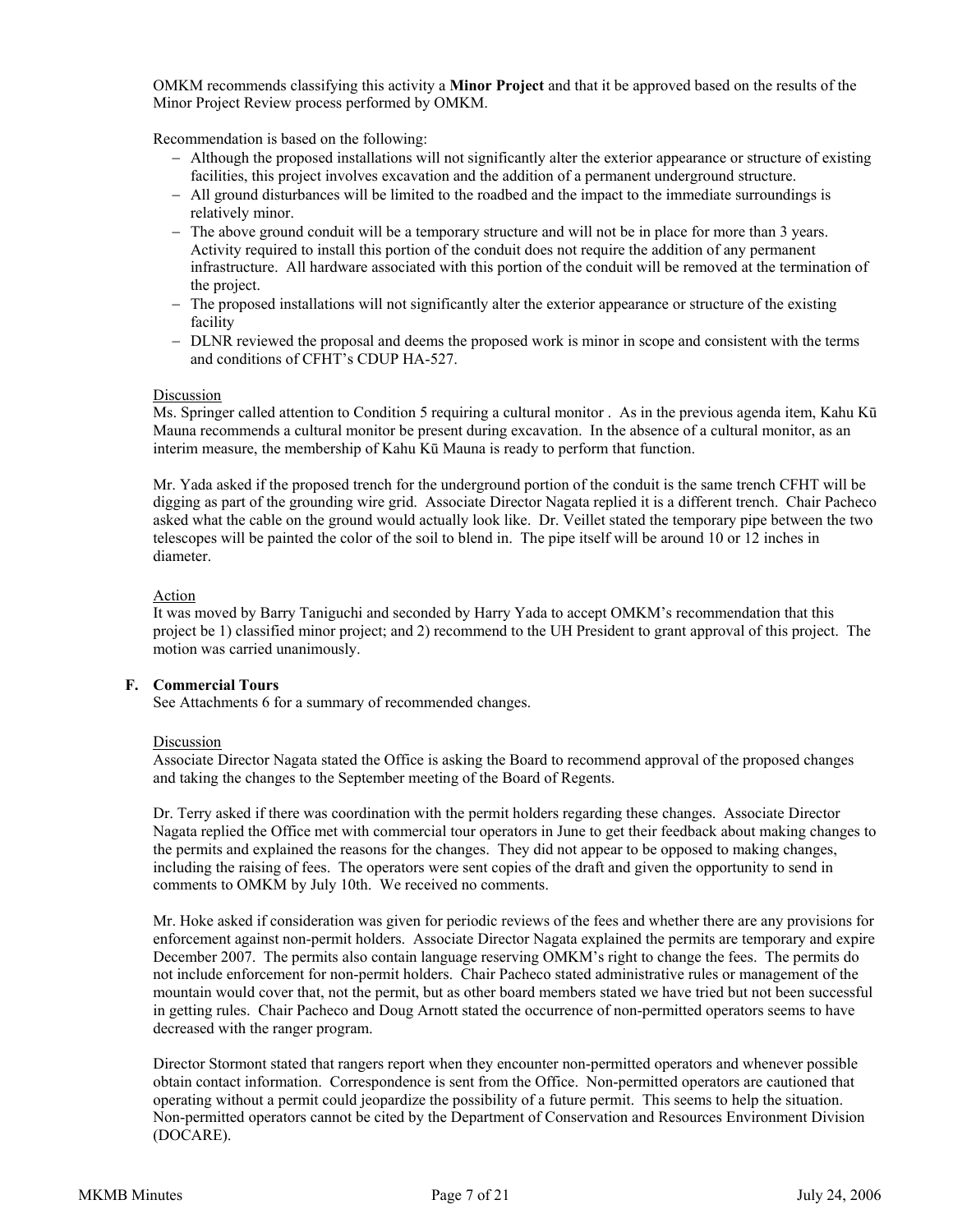OMKM recommends classifying this activity a **Minor Project** and that it be approved based on the results of the Minor Project Review process performed by OMKM.

Recommendation is based on the following:

- − Although the proposed installations will not significantly alter the exterior appearance or structure of existing facilities, this project involves excavation and the addition of a permanent underground structure.
- − All ground disturbances will be limited to the roadbed and the impact to the immediate surroundings is relatively minor.
- − The above ground conduit will be a temporary structure and will not be in place for more than 3 years. Activity required to install this portion of the conduit does not require the addition of any permanent infrastructure. All hardware associated with this portion of the conduit will be removed at the termination of the project.
- − The proposed installations will not significantly alter the exterior appearance or structure of the existing facility
- − DLNR reviewed the proposal and deems the proposed work is minor in scope and consistent with the terms and conditions of CFHT's CDUP HA-527.

### Discussion

Ms. Springer called attention to Condition 5 requiring a cultural monitor . As in the previous agenda item, Kahu Kū Mauna recommends a cultural monitor be present during excavation. In the absence of a cultural monitor, as an interim measure, the membership of Kahu Kū Mauna is ready to perform that function.

Mr. Yada asked if the proposed trench for the underground portion of the conduit is the same trench CFHT will be digging as part of the grounding wire grid. Associate Director Nagata replied it is a different trench. Chair Pacheco asked what the cable on the ground would actually look like. Dr. Veillet stated the temporary pipe between the two telescopes will be painted the color of the soil to blend in. The pipe itself will be around 10 or 12 inches in diameter.

### Action

It was moved by Barry Taniguchi and seconded by Harry Yada to accept OMKM's recommendation that this project be 1) classified minor project; and 2) recommend to the UH President to grant approval of this project. The motion was carried unanimously.

## **F. Commercial Tours**

See Attachments 6 for a summary of recommended changes.

## Discussion

Associate Director Nagata stated the Office is asking the Board to recommend approval of the proposed changes and taking the changes to the September meeting of the Board of Regents.

Dr. Terry asked if there was coordination with the permit holders regarding these changes. Associate Director Nagata replied the Office met with commercial tour operators in June to get their feedback about making changes to the permits and explained the reasons for the changes. They did not appear to be opposed to making changes, including the raising of fees. The operators were sent copies of the draft and given the opportunity to send in comments to OMKM by July 10th. We received no comments.

Mr. Hoke asked if consideration was given for periodic reviews of the fees and whether there are any provisions for enforcement against non-permit holders. Associate Director Nagata explained the permits are temporary and expire December 2007. The permits also contain language reserving OMKM's right to change the fees. The permits do not include enforcement for non-permit holders. Chair Pacheco stated administrative rules or management of the mountain would cover that, not the permit, but as other board members stated we have tried but not been successful in getting rules. Chair Pacheco and Doug Arnott stated the occurrence of non-permitted operators seems to have decreased with the ranger program.

Director Stormont stated that rangers report when they encounter non-permitted operators and whenever possible obtain contact information. Correspondence is sent from the Office. Non-permitted operators are cautioned that operating without a permit could jeopardize the possibility of a future permit. This seems to help the situation. Non-permitted operators cannot be cited by the Department of Conservation and Resources Environment Division (DOCARE).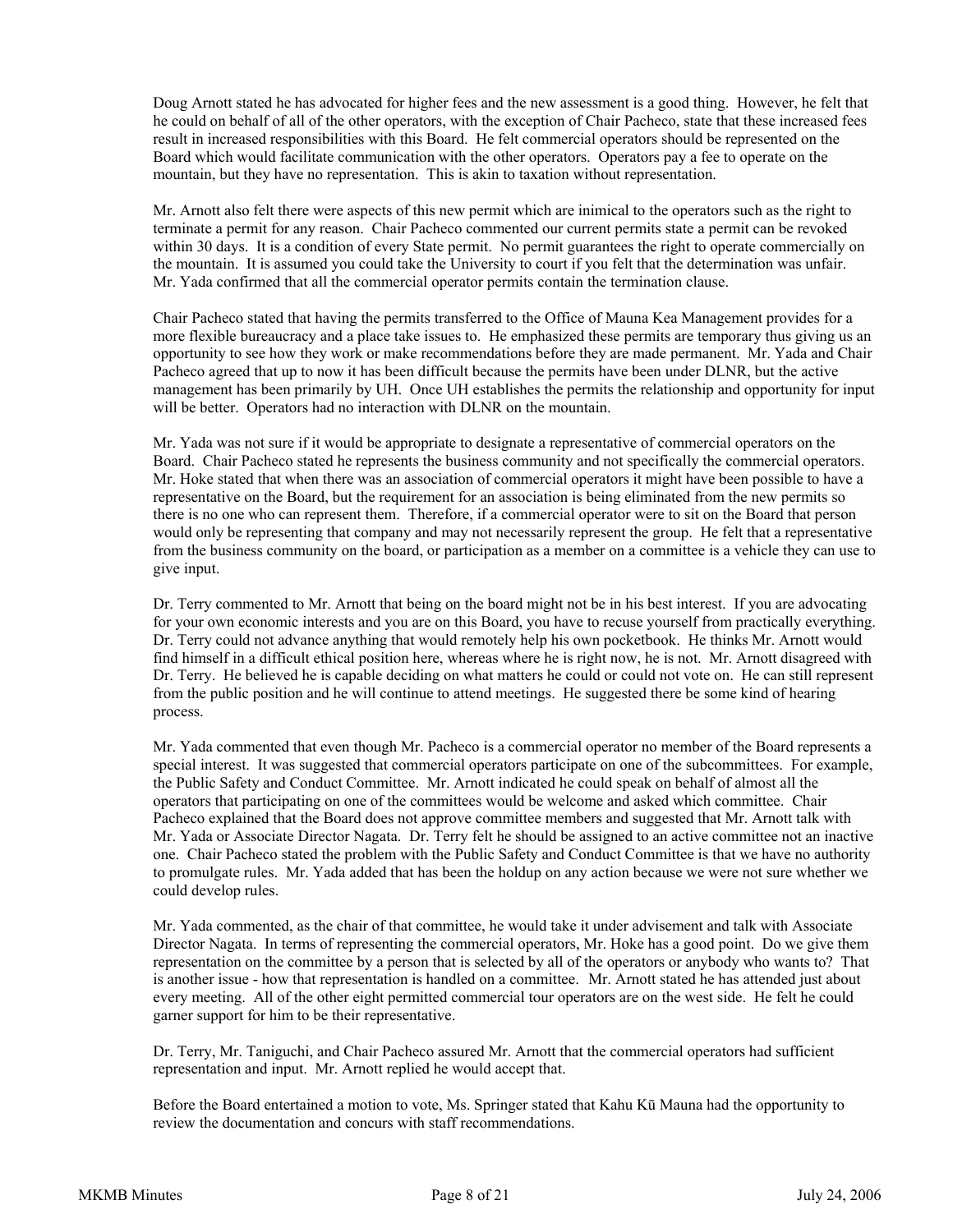Doug Arnott stated he has advocated for higher fees and the new assessment is a good thing. However, he felt that he could on behalf of all of the other operators, with the exception of Chair Pacheco, state that these increased fees result in increased responsibilities with this Board. He felt commercial operators should be represented on the Board which would facilitate communication with the other operators. Operators pay a fee to operate on the mountain, but they have no representation. This is akin to taxation without representation.

Mr. Arnott also felt there were aspects of this new permit which are inimical to the operators such as the right to terminate a permit for any reason. Chair Pacheco commented our current permits state a permit can be revoked within 30 days. It is a condition of every State permit. No permit guarantees the right to operate commercially on the mountain. It is assumed you could take the University to court if you felt that the determination was unfair. Mr. Yada confirmed that all the commercial operator permits contain the termination clause.

Chair Pacheco stated that having the permits transferred to the Office of Mauna Kea Management provides for a more flexible bureaucracy and a place take issues to. He emphasized these permits are temporary thus giving us an opportunity to see how they work or make recommendations before they are made permanent. Mr. Yada and Chair Pacheco agreed that up to now it has been difficult because the permits have been under DLNR, but the active management has been primarily by UH. Once UH establishes the permits the relationship and opportunity for input will be better. Operators had no interaction with DLNR on the mountain.

Mr. Yada was not sure if it would be appropriate to designate a representative of commercial operators on the Board. Chair Pacheco stated he represents the business community and not specifically the commercial operators. Mr. Hoke stated that when there was an association of commercial operators it might have been possible to have a representative on the Board, but the requirement for an association is being eliminated from the new permits so there is no one who can represent them. Therefore, if a commercial operator were to sit on the Board that person would only be representing that company and may not necessarily represent the group. He felt that a representative from the business community on the board, or participation as a member on a committee is a vehicle they can use to give input.

Dr. Terry commented to Mr. Arnott that being on the board might not be in his best interest. If you are advocating for your own economic interests and you are on this Board, you have to recuse yourself from practically everything. Dr. Terry could not advance anything that would remotely help his own pocketbook. He thinks Mr. Arnott would find himself in a difficult ethical position here, whereas where he is right now, he is not. Mr. Arnott disagreed with Dr. Terry. He believed he is capable deciding on what matters he could or could not vote on. He can still represent from the public position and he will continue to attend meetings. He suggested there be some kind of hearing process.

Mr. Yada commented that even though Mr. Pacheco is a commercial operator no member of the Board represents a special interest. It was suggested that commercial operators participate on one of the subcommittees. For example, the Public Safety and Conduct Committee. Mr. Arnott indicated he could speak on behalf of almost all the operators that participating on one of the committees would be welcome and asked which committee. Chair Pacheco explained that the Board does not approve committee members and suggested that Mr. Arnott talk with Mr. Yada or Associate Director Nagata. Dr. Terry felt he should be assigned to an active committee not an inactive one. Chair Pacheco stated the problem with the Public Safety and Conduct Committee is that we have no authority to promulgate rules. Mr. Yada added that has been the holdup on any action because we were not sure whether we could develop rules.

Mr. Yada commented, as the chair of that committee, he would take it under advisement and talk with Associate Director Nagata. In terms of representing the commercial operators, Mr. Hoke has a good point. Do we give them representation on the committee by a person that is selected by all of the operators or anybody who wants to? That is another issue - how that representation is handled on a committee. Mr. Arnott stated he has attended just about every meeting. All of the other eight permitted commercial tour operators are on the west side. He felt he could garner support for him to be their representative.

Dr. Terry, Mr. Taniguchi, and Chair Pacheco assured Mr. Arnott that the commercial operators had sufficient representation and input. Mr. Arnott replied he would accept that.

Before the Board entertained a motion to vote, Ms. Springer stated that Kahu Kū Mauna had the opportunity to review the documentation and concurs with staff recommendations.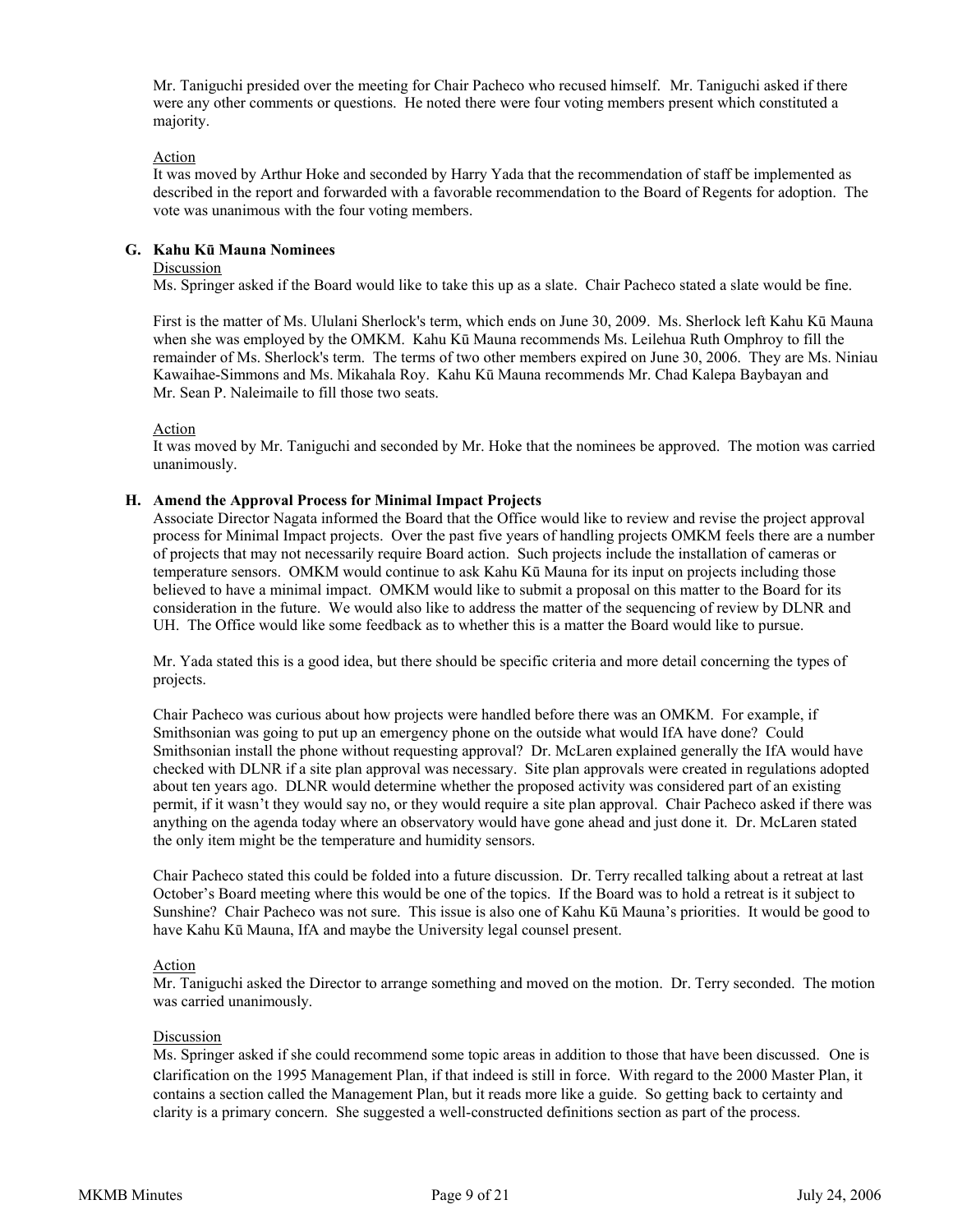Mr. Taniguchi presided over the meeting for Chair Pacheco who recused himself. Mr. Taniguchi asked if there were any other comments or questions. He noted there were four voting members present which constituted a majority.

## Action

It was moved by Arthur Hoke and seconded by Harry Yada that the recommendation of staff be implemented as described in the report and forwarded with a favorable recommendation to the Board of Regents for adoption. The vote was unanimous with the four voting members.

#### **G. Kahu Kū Mauna Nominees**

#### Discussion

Ms. Springer asked if the Board would like to take this up as a slate. Chair Pacheco stated a slate would be fine.

First is the matter of Ms. Ululani Sherlock's term, which ends on June 30, 2009. Ms. Sherlock left Kahu Kū Mauna when she was employed by the OMKM. Kahu Kū Mauna recommends Ms. Leilehua Ruth Omphroy to fill the remainder of Ms. Sherlock's term. The terms of two other members expired on June 30, 2006. They are Ms. Niniau Kawaihae-Simmons and Ms. Mikahala Roy. Kahu Kū Mauna recommends Mr. Chad Kalepa Baybayan and Mr. Sean P. Naleimaile to fill those two seats.

#### Action

It was moved by Mr. Taniguchi and seconded by Mr. Hoke that the nominees be approved. The motion was carried unanimously.

### **H. Amend the Approval Process for Minimal Impact Projects**

Associate Director Nagata informed the Board that the Office would like to review and revise the project approval process for Minimal Impact projects. Over the past five years of handling projects OMKM feels there are a number of projects that may not necessarily require Board action. Such projects include the installation of cameras or temperature sensors. OMKM would continue to ask Kahu Kū Mauna for its input on projects including those believed to have a minimal impact. OMKM would like to submit a proposal on this matter to the Board for its consideration in the future. We would also like to address the matter of the sequencing of review by DLNR and UH. The Office would like some feedback as to whether this is a matter the Board would like to pursue.

Mr. Yada stated this is a good idea, but there should be specific criteria and more detail concerning the types of projects.

Chair Pacheco was curious about how projects were handled before there was an OMKM. For example, if Smithsonian was going to put up an emergency phone on the outside what would IfA have done? Could Smithsonian install the phone without requesting approval? Dr. McLaren explained generally the IfA would have checked with DLNR if a site plan approval was necessary. Site plan approvals were created in regulations adopted about ten years ago. DLNR would determine whether the proposed activity was considered part of an existing permit, if it wasn't they would say no, or they would require a site plan approval. Chair Pacheco asked if there was anything on the agenda today where an observatory would have gone ahead and just done it. Dr. McLaren stated the only item might be the temperature and humidity sensors.

Chair Pacheco stated this could be folded into a future discussion. Dr. Terry recalled talking about a retreat at last October's Board meeting where this would be one of the topics. If the Board was to hold a retreat is it subject to Sunshine? Chair Pacheco was not sure. This issue is also one of Kahu Kū Mauna's priorities. It would be good to have Kahu Kū Mauna, IfA and maybe the University legal counsel present.

#### Action

Mr. Taniguchi asked the Director to arrange something and moved on the motion. Dr. Terry seconded. The motion was carried unanimously.

#### Discussion

Ms. Springer asked if she could recommend some topic areas in addition to those that have been discussed. One is clarification on the 1995 Management Plan, if that indeed is still in force. With regard to the 2000 Master Plan, it contains a section called the Management Plan, but it reads more like a guide. So getting back to certainty and clarity is a primary concern. She suggested a well-constructed definitions section as part of the process.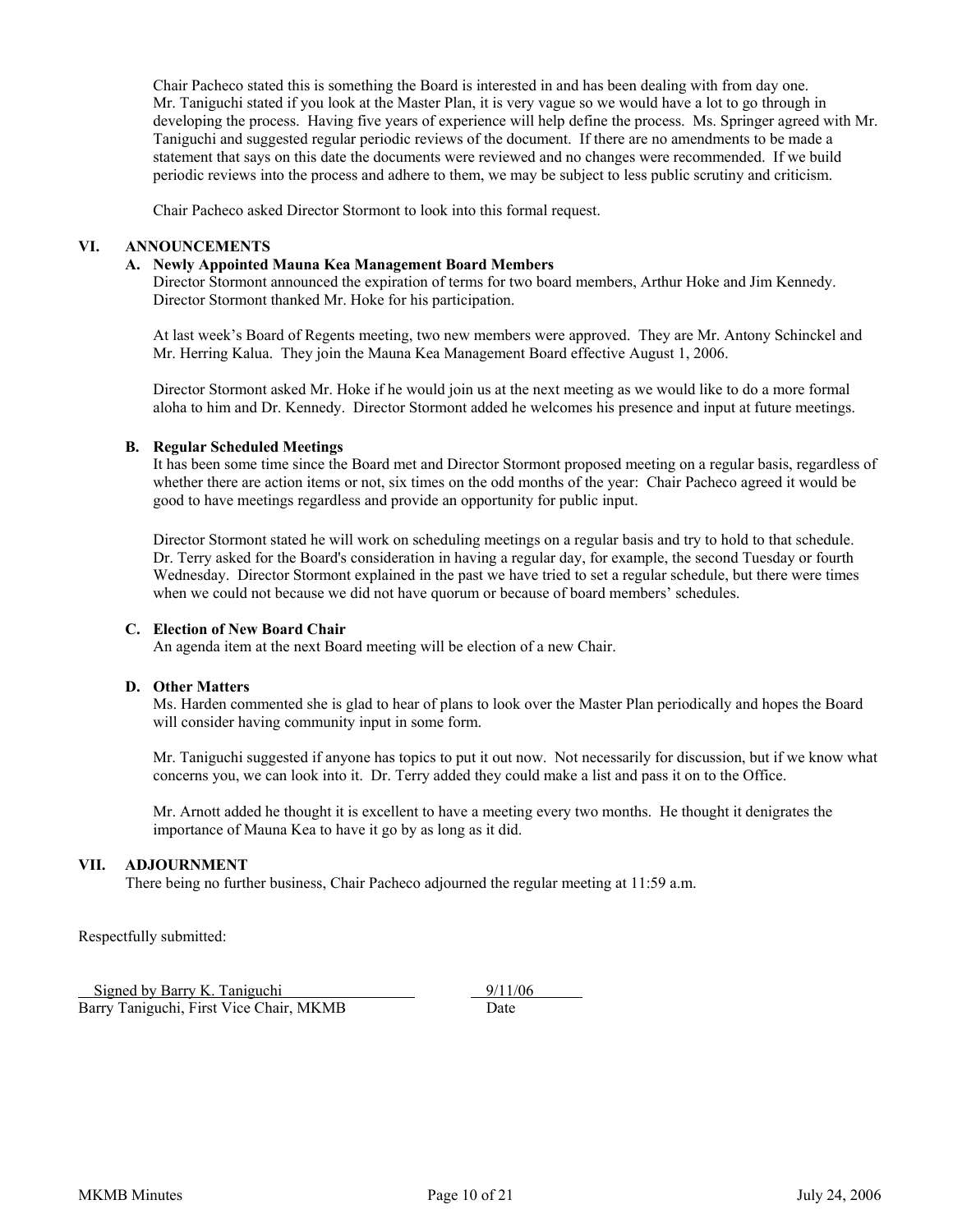Chair Pacheco stated this is something the Board is interested in and has been dealing with from day one. Mr. Taniguchi stated if you look at the Master Plan, it is very vague so we would have a lot to go through in developing the process. Having five years of experience will help define the process. Ms. Springer agreed with Mr. Taniguchi and suggested regular periodic reviews of the document. If there are no amendments to be made a statement that says on this date the documents were reviewed and no changes were recommended. If we build periodic reviews into the process and adhere to them, we may be subject to less public scrutiny and criticism.

Chair Pacheco asked Director Stormont to look into this formal request.

#### **VI. ANNOUNCEMENTS**

### **A. Newly Appointed Mauna Kea Management Board Members**

Director Stormont announced the expiration of terms for two board members, Arthur Hoke and Jim Kennedy. Director Stormont thanked Mr. Hoke for his participation.

At last week's Board of Regents meeting, two new members were approved. They are Mr. Antony Schinckel and Mr. Herring Kalua. They join the Mauna Kea Management Board effective August 1, 2006.

Director Stormont asked Mr. Hoke if he would join us at the next meeting as we would like to do a more formal aloha to him and Dr. Kennedy. Director Stormont added he welcomes his presence and input at future meetings.

#### **B. Regular Scheduled Meetings**

It has been some time since the Board met and Director Stormont proposed meeting on a regular basis, regardless of whether there are action items or not, six times on the odd months of the year: Chair Pacheco agreed it would be good to have meetings regardless and provide an opportunity for public input.

Director Stormont stated he will work on scheduling meetings on a regular basis and try to hold to that schedule. Dr. Terry asked for the Board's consideration in having a regular day, for example, the second Tuesday or fourth Wednesday. Director Stormont explained in the past we have tried to set a regular schedule, but there were times when we could not because we did not have quorum or because of board members' schedules.

#### **C. Election of New Board Chair**

An agenda item at the next Board meeting will be election of a new Chair.

#### **D. Other Matters**

Ms. Harden commented she is glad to hear of plans to look over the Master Plan periodically and hopes the Board will consider having community input in some form.

Mr. Taniguchi suggested if anyone has topics to put it out now. Not necessarily for discussion, but if we know what concerns you, we can look into it. Dr. Terry added they could make a list and pass it on to the Office.

Mr. Arnott added he thought it is excellent to have a meeting every two months. He thought it denigrates the importance of Mauna Kea to have it go by as long as it did.

## **VII. ADJOURNMENT**

There being no further business, Chair Pacheco adjourned the regular meeting at 11:59 a.m.

Respectfully submitted:

Signed by Barry K. Taniguchi 9/11/06 Barry Taniguchi, First Vice Chair, MKMB Date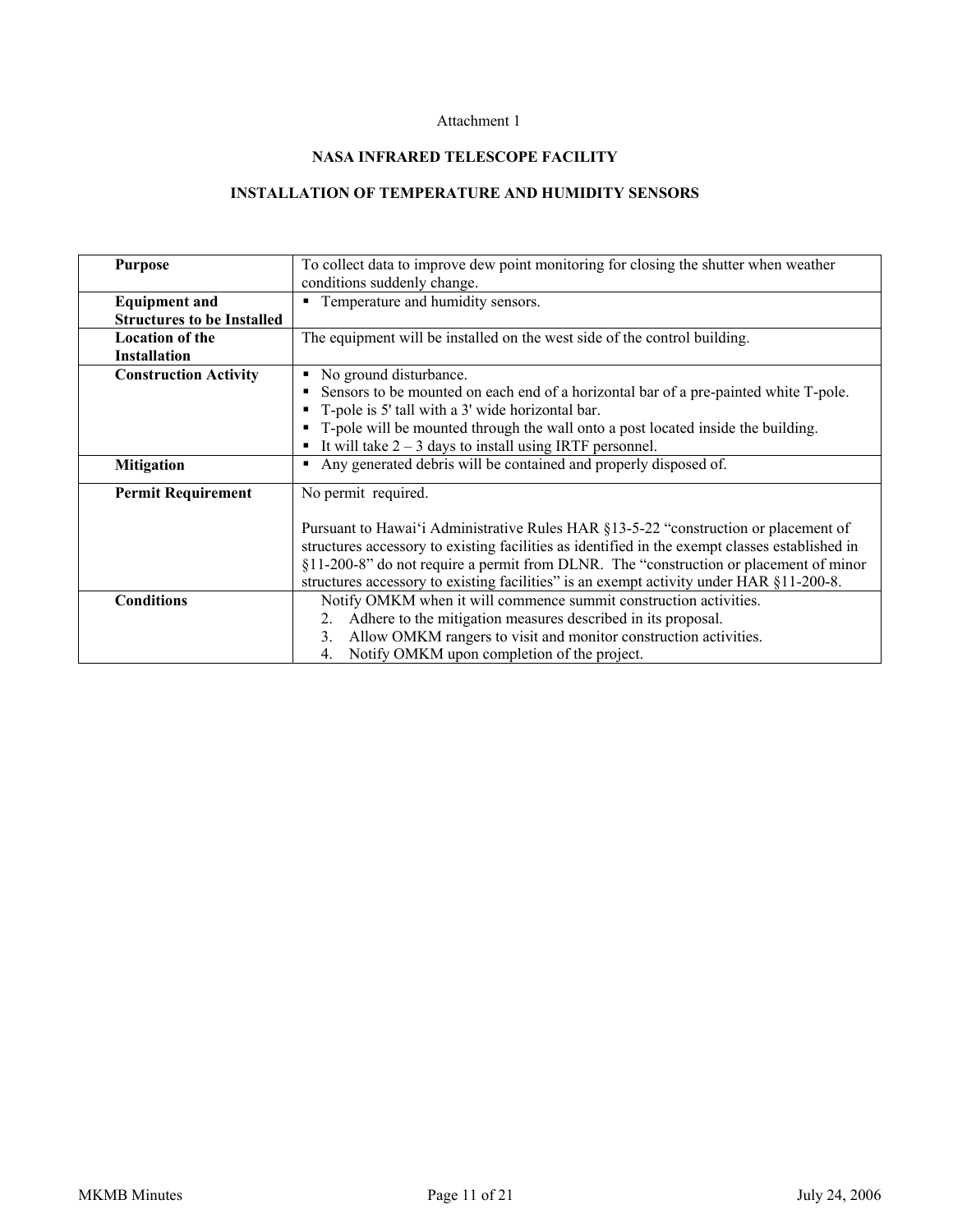# Attachment 1

# **NASA INFRARED TELESCOPE FACILITY**

# **INSTALLATION OF TEMPERATURE AND HUMIDITY SENSORS**

| <b>Purpose</b>                    | To collect data to improve dew point monitoring for closing the shutter when weather           |  |
|-----------------------------------|------------------------------------------------------------------------------------------------|--|
|                                   | conditions suddenly change.                                                                    |  |
| <b>Equipment and</b>              | • Temperature and humidity sensors.                                                            |  |
|                                   |                                                                                                |  |
| <b>Structures to be Installed</b> |                                                                                                |  |
| <b>Location of the</b>            | The equipment will be installed on the west side of the control building.                      |  |
| <b>Installation</b>               |                                                                                                |  |
| <b>Construction Activity</b>      | • No ground disturbance.                                                                       |  |
|                                   | Sensors to be mounted on each end of a horizontal bar of a pre-painted white T-pole.<br>٠      |  |
|                                   | • T-pole is 5' tall with a 3' wide horizontal bar.                                             |  |
|                                   | • T-pole will be mounted through the wall onto a post located inside the building.             |  |
|                                   | ■ It will take $2-3$ days to install using IRTF personnel.                                     |  |
|                                   |                                                                                                |  |
| <b>Mitigation</b>                 | Any generated debris will be contained and properly disposed of.<br>$\blacksquare$             |  |
| <b>Permit Requirement</b>         | No permit required.                                                                            |  |
|                                   |                                                                                                |  |
|                                   | Pursuant to Hawai'i Administrative Rules HAR §13-5-22 "construction or placement of            |  |
|                                   | structures accessory to existing facilities as identified in the exempt classes established in |  |
|                                   |                                                                                                |  |
|                                   | §11-200-8" do not require a permit from DLNR. The "construction or placement of minor          |  |
|                                   | structures accessory to existing facilities" is an exempt activity under HAR §11-200-8.        |  |
| <b>Conditions</b>                 | Notify OMKM when it will commence summit construction activities.                              |  |
|                                   | Adhere to the mitigation measures described in its proposal.<br>2.                             |  |
|                                   | Allow OMKM rangers to visit and monitor construction activities.<br>3.                         |  |
|                                   |                                                                                                |  |
|                                   | Notify OMKM upon completion of the project.<br>4.                                              |  |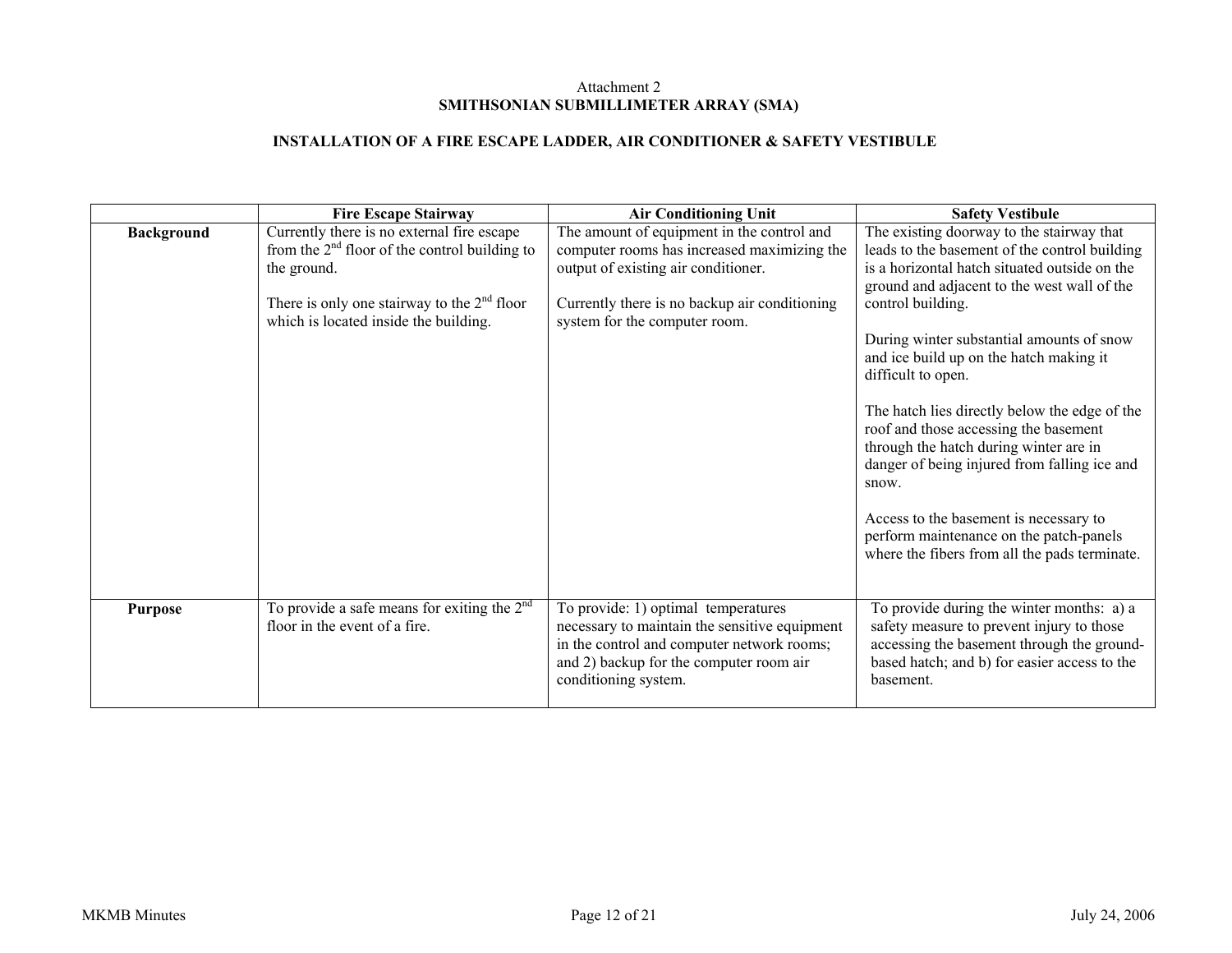## Attachment 2 **SMITHSONIAN SUBMILLIMETER ARRAY (SMA)**

# **INSTALLATION OF A FIRE ESCAPE LADDER, AIR CONDITIONER & SAFETY VESTIBULE**

|                   | <b>Fire Escape Stairway</b>                                                                                                                                                                            | <b>Air Conditioning Unit</b>                                                                                                                                                                                       | <b>Safety Vestibule</b>                                                                                                                                                                                                                                                                                                                                                                                                                                                                                                                                                                                                                                          |
|-------------------|--------------------------------------------------------------------------------------------------------------------------------------------------------------------------------------------------------|--------------------------------------------------------------------------------------------------------------------------------------------------------------------------------------------------------------------|------------------------------------------------------------------------------------------------------------------------------------------------------------------------------------------------------------------------------------------------------------------------------------------------------------------------------------------------------------------------------------------------------------------------------------------------------------------------------------------------------------------------------------------------------------------------------------------------------------------------------------------------------------------|
| <b>Background</b> | Currently there is no external fire escape<br>from the $2nd$ floor of the control building to<br>the ground.<br>There is only one stairway to the $2nd$ floor<br>which is located inside the building. | The amount of equipment in the control and<br>computer rooms has increased maximizing the<br>output of existing air conditioner.<br>Currently there is no backup air conditioning<br>system for the computer room. | The existing doorway to the stairway that<br>leads to the basement of the control building<br>is a horizontal hatch situated outside on the<br>ground and adjacent to the west wall of the<br>control building.<br>During winter substantial amounts of snow<br>and ice build up on the hatch making it<br>difficult to open.<br>The hatch lies directly below the edge of the<br>roof and those accessing the basement<br>through the hatch during winter are in<br>danger of being injured from falling ice and<br>snow.<br>Access to the basement is necessary to<br>perform maintenance on the patch-panels<br>where the fibers from all the pads terminate. |
| <b>Purpose</b>    | To provide a safe means for exiting the $2nd$<br>floor in the event of a fire.                                                                                                                         | To provide: 1) optimal temperatures<br>necessary to maintain the sensitive equipment<br>in the control and computer network rooms;<br>and 2) backup for the computer room air<br>conditioning system.              | To provide during the winter months: a) a<br>safety measure to prevent injury to those<br>accessing the basement through the ground-<br>based hatch; and b) for easier access to the<br>basement.                                                                                                                                                                                                                                                                                                                                                                                                                                                                |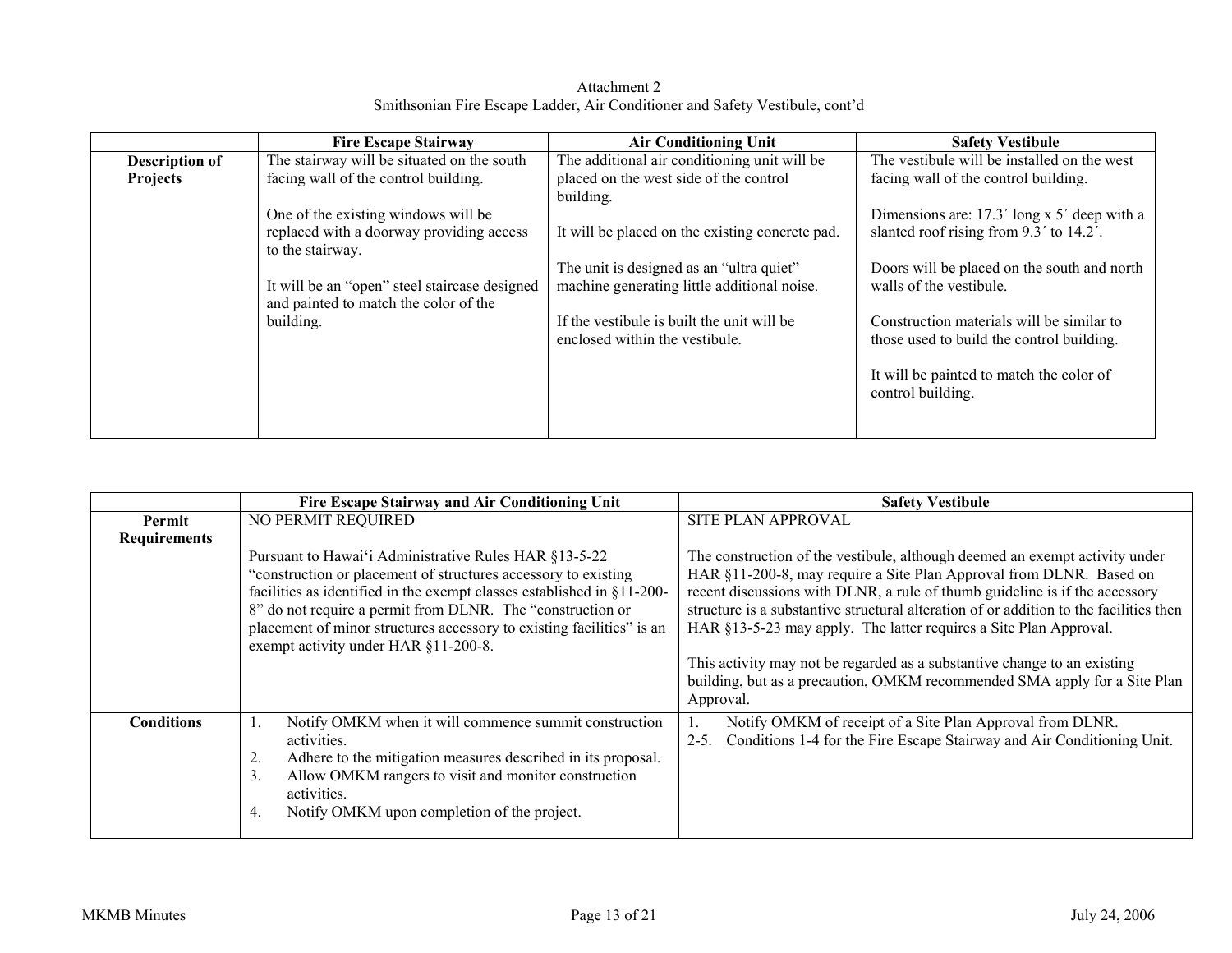Attachment 2 Smithsonian Fire Escape Ladder, Air Conditioner and Safety Vestibule, cont'd

|                       | <b>Fire Escape Stairway</b>                                                                         | <b>Air Conditioning Unit</b>                                                            | <b>Safety Vestibule</b>                                                                |
|-----------------------|-----------------------------------------------------------------------------------------------------|-----------------------------------------------------------------------------------------|----------------------------------------------------------------------------------------|
| <b>Description of</b> | The stairway will be situated on the south                                                          | The additional air conditioning unit will be                                            | The vestibule will be installed on the west                                            |
| <b>Projects</b>       | facing wall of the control building.                                                                | placed on the west side of the control<br>building.                                     | facing wall of the control building.                                                   |
|                       | One of the existing windows will be<br>replaced with a doorway providing access<br>to the stairway. | It will be placed on the existing concrete pad.                                         | Dimensions are: 17.3' long x 5' deep with a<br>slanted roof rising from 9.3' to 14.2'. |
|                       | It will be an "open" steel staircase designed<br>and painted to match the color of the              | The unit is designed as an "ultra quiet"<br>machine generating little additional noise. | Doors will be placed on the south and north<br>walls of the vestibule.                 |
|                       | building.                                                                                           | If the vestibule is built the unit will be<br>enclosed within the vestibule.            | Construction materials will be similar to<br>those used to build the control building. |
|                       |                                                                                                     |                                                                                         | It will be painted to match the color of<br>control building.                          |
|                       |                                                                                                     |                                                                                         |                                                                                        |

|                     | Fire Escape Stairway and Air Conditioning Unit                                                                                                                                                                                                                                                                                                                                   | <b>Safety Vestibule</b>                                                                                                                                                                                                                                                                                                                                                                                                                                                                                                                                   |
|---------------------|----------------------------------------------------------------------------------------------------------------------------------------------------------------------------------------------------------------------------------------------------------------------------------------------------------------------------------------------------------------------------------|-----------------------------------------------------------------------------------------------------------------------------------------------------------------------------------------------------------------------------------------------------------------------------------------------------------------------------------------------------------------------------------------------------------------------------------------------------------------------------------------------------------------------------------------------------------|
| Permit              | NO PERMIT REQUIRED                                                                                                                                                                                                                                                                                                                                                               | <b>SITE PLAN APPROVAL</b>                                                                                                                                                                                                                                                                                                                                                                                                                                                                                                                                 |
| <b>Requirements</b> | Pursuant to Hawai'i Administrative Rules HAR §13-5-22<br>"construction or placement of structures accessory to existing<br>facilities as identified in the exempt classes established in §11-200-<br>8" do not require a permit from DLNR. The "construction or<br>placement of minor structures accessory to existing facilities" is an<br>exempt activity under HAR §11-200-8. | The construction of the vestibule, although deemed an exempt activity under<br>HAR §11-200-8, may require a Site Plan Approval from DLNR. Based on<br>recent discussions with DLNR, a rule of thumb guideline is if the accessory<br>structure is a substantive structural alteration of or addition to the facilities then<br>HAR §13-5-23 may apply. The latter requires a Site Plan Approval.<br>This activity may not be regarded as a substantive change to an existing<br>building, but as a precaution, OMKM recommended SMA apply for a Site Plan |
|                     |                                                                                                                                                                                                                                                                                                                                                                                  | Approval.                                                                                                                                                                                                                                                                                                                                                                                                                                                                                                                                                 |
| <b>Conditions</b>   | Notify OMKM when it will commence summit construction<br>activities.<br>Adhere to the mitigation measures described in its proposal.<br>2.<br>Allow OMKM rangers to visit and monitor construction<br>3.<br>activities.<br>Notify OMKM upon completion of the project.<br>4.                                                                                                     | Notify OMKM of receipt of a Site Plan Approval from DLNR.<br>Conditions 1-4 for the Fire Escape Stairway and Air Conditioning Unit.<br>$2 - 5$ .                                                                                                                                                                                                                                                                                                                                                                                                          |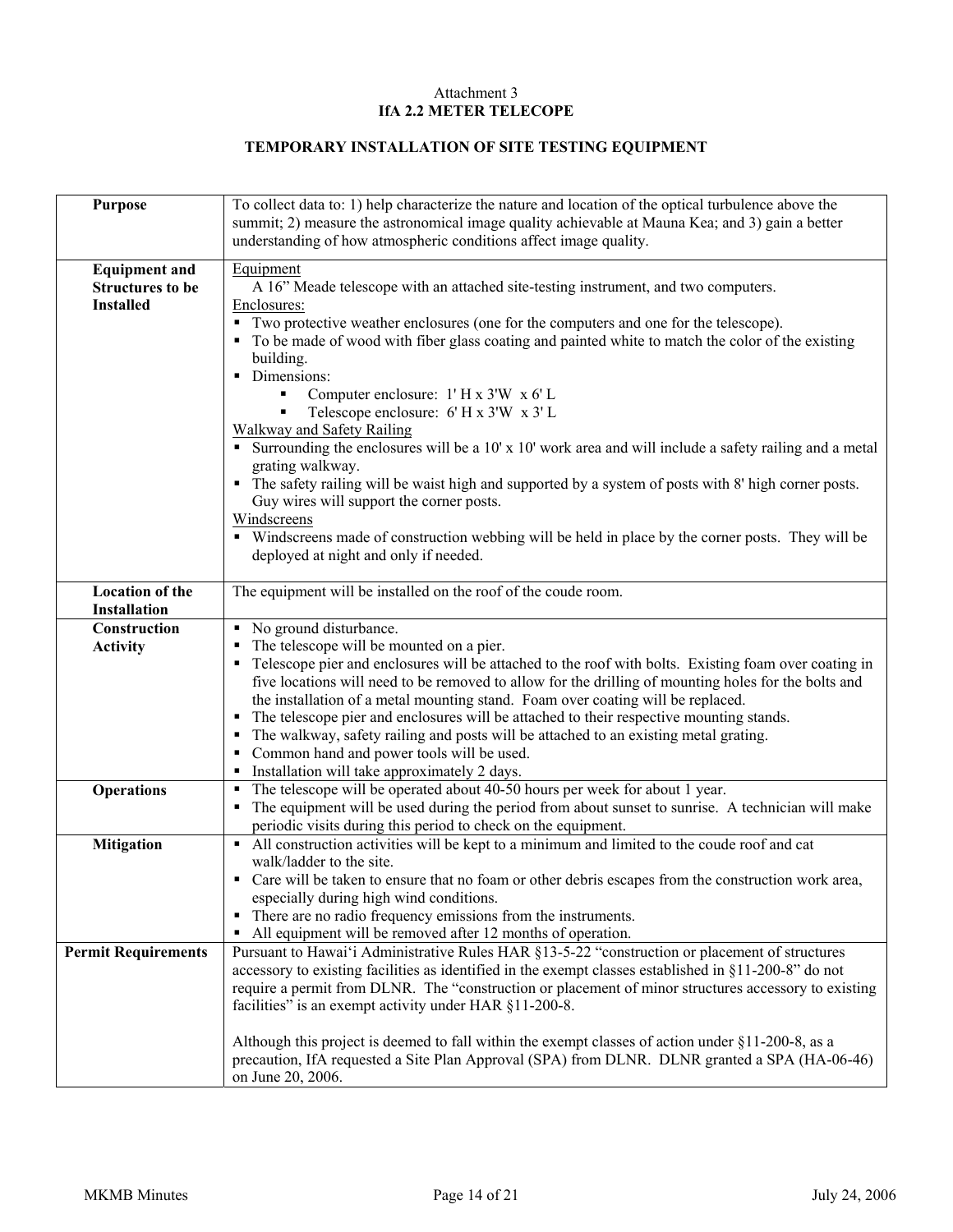## Attachment 3 **IfA 2.2 METER TELECOPE**

# **TEMPORARY INSTALLATION OF SITE TESTING EQUIPMENT**

| <b>Purpose</b>                                                      | To collect data to: 1) help characterize the nature and location of the optical turbulence above the<br>summit; 2) measure the astronomical image quality achievable at Mauna Kea; and 3) gain a better<br>understanding of how atmospheric conditions affect image quality.                                                                                                                                                                                                                                                                                                                                                                                                                                                                                                                                                                                                                                        |
|---------------------------------------------------------------------|---------------------------------------------------------------------------------------------------------------------------------------------------------------------------------------------------------------------------------------------------------------------------------------------------------------------------------------------------------------------------------------------------------------------------------------------------------------------------------------------------------------------------------------------------------------------------------------------------------------------------------------------------------------------------------------------------------------------------------------------------------------------------------------------------------------------------------------------------------------------------------------------------------------------|
| <b>Equipment and</b><br><b>Structures to be</b><br><b>Installed</b> | Equipment<br>A 16" Meade telescope with an attached site-testing instrument, and two computers.<br>Enclosures:<br>• Two protective weather enclosures (one for the computers and one for the telescope).<br>• To be made of wood with fiber glass coating and painted white to match the color of the existing<br>building.<br>• Dimensions:<br>Computer enclosure: 1'H x 3'W x 6'L<br>Telescope enclosure: 6'H x 3'W x 3'L<br><b>Walkway and Safety Railing</b><br>• Surrounding the enclosures will be a 10' x 10' work area and will include a safety railing and a metal<br>grating walkway.<br>• The safety railing will be waist high and supported by a system of posts with 8' high corner posts.<br>Guy wires will support the corner posts.<br>Windscreens<br>• Windscreens made of construction webbing will be held in place by the corner posts. They will be<br>deployed at night and only if needed. |
| <b>Location of the</b><br><b>Installation</b>                       | The equipment will be installed on the roof of the coude room.                                                                                                                                                                                                                                                                                                                                                                                                                                                                                                                                                                                                                                                                                                                                                                                                                                                      |
| Construction<br><b>Activity</b>                                     | • No ground disturbance.<br>The telescope will be mounted on a pier.<br>Telescope pier and enclosures will be attached to the roof with bolts. Existing foam over coating in<br>five locations will need to be removed to allow for the drilling of mounting holes for the bolts and<br>the installation of a metal mounting stand. Foam over coating will be replaced.<br>The telescope pier and enclosures will be attached to their respective mounting stands.<br>The walkway, safety railing and posts will be attached to an existing metal grating.<br>٠<br>Common hand and power tools will be used.<br>٠<br>Installation will take approximately 2 days.<br>٠                                                                                                                                                                                                                                              |
| <b>Operations</b>                                                   | The telescope will be operated about 40-50 hours per week for about 1 year.<br>п<br>The equipment will be used during the period from about sunset to sunrise. A technician will make<br>periodic visits during this period to check on the equipment.                                                                                                                                                                                                                                                                                                                                                                                                                                                                                                                                                                                                                                                              |
| <b>Mitigation</b>                                                   | • All construction activities will be kept to a minimum and limited to the coude roof and cat<br>walk/ladder to the site.<br>• Care will be taken to ensure that no foam or other debris escapes from the construction work area,<br>especially during high wind conditions.<br>There are no radio frequency emissions from the instruments.<br>All equipment will be removed after 12 months of operation.                                                                                                                                                                                                                                                                                                                                                                                                                                                                                                         |
| <b>Permit Requirements</b>                                          | Pursuant to Hawai'i Administrative Rules HAR §13-5-22 "construction or placement of structures<br>accessory to existing facilities as identified in the exempt classes established in §11-200-8" do not<br>require a permit from DLNR. The "construction or placement of minor structures accessory to existing<br>facilities" is an exempt activity under HAR §11-200-8.<br>Although this project is deemed to fall within the exempt classes of action under $\S 11$ -200-8, as a<br>precaution, IfA requested a Site Plan Approval (SPA) from DLNR. DLNR granted a SPA (HA-06-46)<br>on June 20, 2006.                                                                                                                                                                                                                                                                                                           |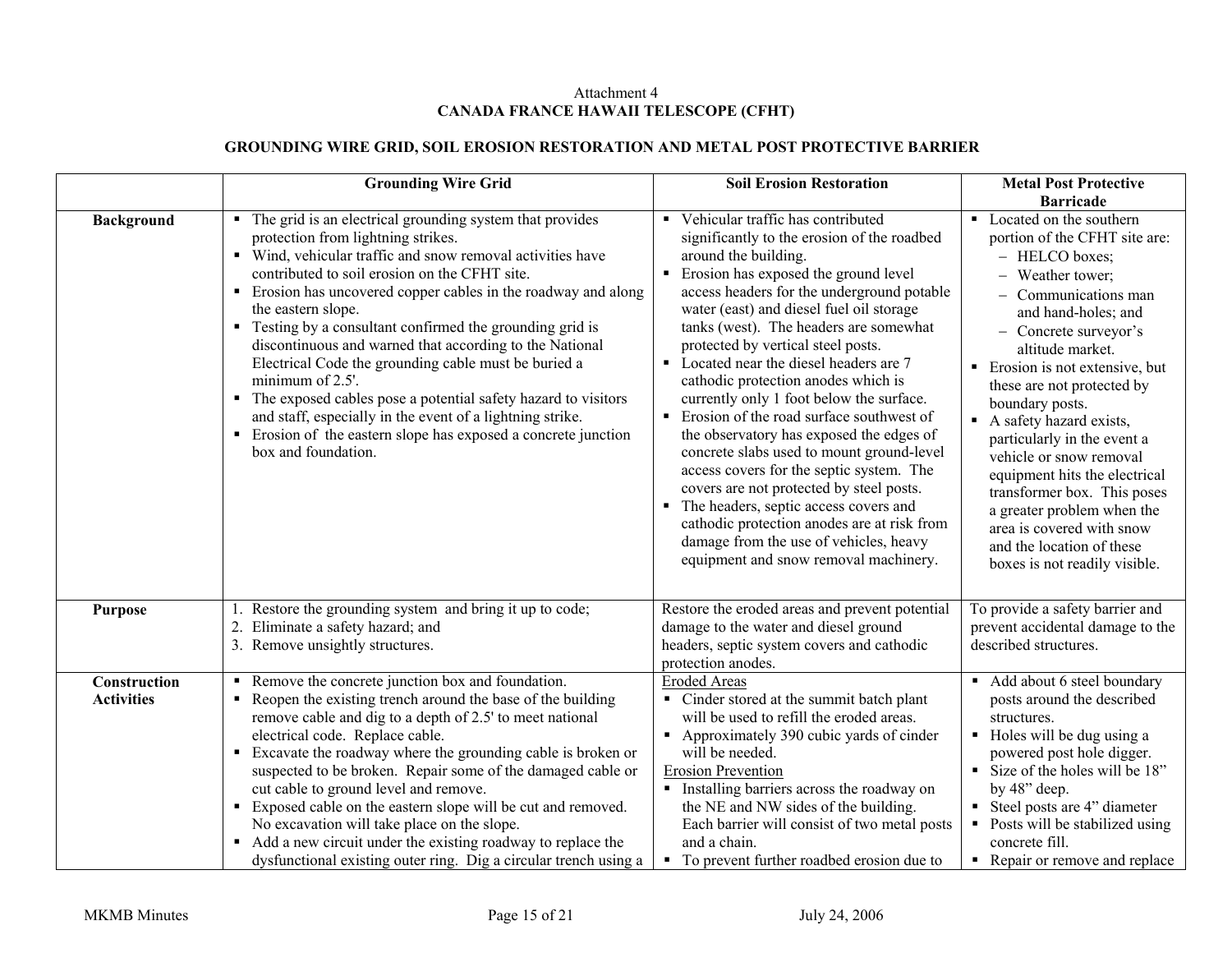## Attachment 4 **CANADA FRANCE HAWAII TELESCOPE (CFHT)**

# **GROUNDING WIRE GRID, SOIL EROSION RESTORATION AND METAL POST PROTECTIVE BARRIER**

|                                   | <b>Grounding Wire Grid</b>                                                                                                                                                                                                                                                                                                                                                                                                                                                                                                                                                                                                                                                                                                           | <b>Soil Erosion Restoration</b>                                                                                                                                                                                                                                                                                                                                                                                                                                                                                                                                                                                                                                                                                                                                                                                                                                                                          | <b>Metal Post Protective</b>                                                                                                                                                                                                                                                                                                                                                                                                                                                                                                                                                                       |
|-----------------------------------|--------------------------------------------------------------------------------------------------------------------------------------------------------------------------------------------------------------------------------------------------------------------------------------------------------------------------------------------------------------------------------------------------------------------------------------------------------------------------------------------------------------------------------------------------------------------------------------------------------------------------------------------------------------------------------------------------------------------------------------|----------------------------------------------------------------------------------------------------------------------------------------------------------------------------------------------------------------------------------------------------------------------------------------------------------------------------------------------------------------------------------------------------------------------------------------------------------------------------------------------------------------------------------------------------------------------------------------------------------------------------------------------------------------------------------------------------------------------------------------------------------------------------------------------------------------------------------------------------------------------------------------------------------|----------------------------------------------------------------------------------------------------------------------------------------------------------------------------------------------------------------------------------------------------------------------------------------------------------------------------------------------------------------------------------------------------------------------------------------------------------------------------------------------------------------------------------------------------------------------------------------------------|
| <b>Background</b>                 | • The grid is an electrical grounding system that provides<br>protection from lightning strikes.<br>• Wind, vehicular traffic and snow removal activities have<br>contributed to soil erosion on the CFHT site.<br>• Erosion has uncovered copper cables in the roadway and along<br>the eastern slope.<br>• Testing by a consultant confirmed the grounding grid is<br>discontinuous and warned that according to the National<br>Electrical Code the grounding cable must be buried a<br>minimum of 2.5'.<br>• The exposed cables pose a potential safety hazard to visitors<br>and staff, especially in the event of a lightning strike.<br>• Erosion of the eastern slope has exposed a concrete junction<br>box and foundation. | • Vehicular traffic has contributed<br>significantly to the erosion of the roadbed<br>around the building.<br>• Erosion has exposed the ground level<br>access headers for the underground potable<br>water (east) and diesel fuel oil storage<br>tanks (west). The headers are somewhat<br>protected by vertical steel posts.<br>• Located near the diesel headers are 7<br>cathodic protection anodes which is<br>currently only 1 foot below the surface.<br>Erosion of the road surface southwest of<br>$\blacksquare$<br>the observatory has exposed the edges of<br>concrete slabs used to mount ground-level<br>access covers for the septic system. The<br>covers are not protected by steel posts.<br>The headers, septic access covers and<br>$\blacksquare$<br>cathodic protection anodes are at risk from<br>damage from the use of vehicles, heavy<br>equipment and snow removal machinery. | <b>Barricade</b><br>• Located on the southern<br>portion of the CFHT site are:<br>- HELCO boxes;<br>- Weather tower;<br>- Communications man<br>and hand-holes; and<br>- Concrete surveyor's<br>altitude market.<br>Erosion is not extensive, but<br>these are not protected by<br>boundary posts.<br>A safety hazard exists,<br>$\blacksquare$<br>particularly in the event a<br>vehicle or snow removal<br>equipment hits the electrical<br>transformer box. This poses<br>a greater problem when the<br>area is covered with snow<br>and the location of these<br>boxes is not readily visible. |
| <b>Purpose</b>                    | 1. Restore the grounding system and bring it up to code;<br>2. Eliminate a safety hazard; and<br>3. Remove unsightly structures.                                                                                                                                                                                                                                                                                                                                                                                                                                                                                                                                                                                                     | Restore the eroded areas and prevent potential<br>damage to the water and diesel ground<br>headers, septic system covers and cathodic<br>protection anodes.                                                                                                                                                                                                                                                                                                                                                                                                                                                                                                                                                                                                                                                                                                                                              | To provide a safety barrier and<br>prevent accidental damage to the<br>described structures.                                                                                                                                                                                                                                                                                                                                                                                                                                                                                                       |
| Construction<br><b>Activities</b> | Remove the concrete junction box and foundation.<br>Reopen the existing trench around the base of the building<br>$\blacksquare$<br>remove cable and dig to a depth of 2.5' to meet national<br>electrical code. Replace cable.<br>• Excavate the roadway where the grounding cable is broken or<br>suspected to be broken. Repair some of the damaged cable or<br>cut cable to ground level and remove.<br>• Exposed cable on the eastern slope will be cut and removed.<br>No excavation will take place on the slope.<br>• Add a new circuit under the existing roadway to replace the<br>dysfunctional existing outer ring. Dig a circular trench using a                                                                        | <b>Eroded Areas</b><br>• Cinder stored at the summit batch plant<br>will be used to refill the eroded areas.<br>• Approximately 390 cubic yards of cinder<br>will be needed.<br><b>Erosion Prevention</b><br>Installing barriers across the roadway on<br>the NE and NW sides of the building.<br>Each barrier will consist of two metal posts<br>and a chain.<br>• To prevent further roadbed erosion due to                                                                                                                                                                                                                                                                                                                                                                                                                                                                                            | • Add about 6 steel boundary<br>posts around the described<br>structures.<br>• Holes will be dug using a<br>powered post hole digger.<br>Size of the holes will be 18"<br>by 48" deep.<br>Steel posts are 4" diameter<br>Posts will be stabilized using<br>concrete fill.<br>• Repair or remove and replace                                                                                                                                                                                                                                                                                        |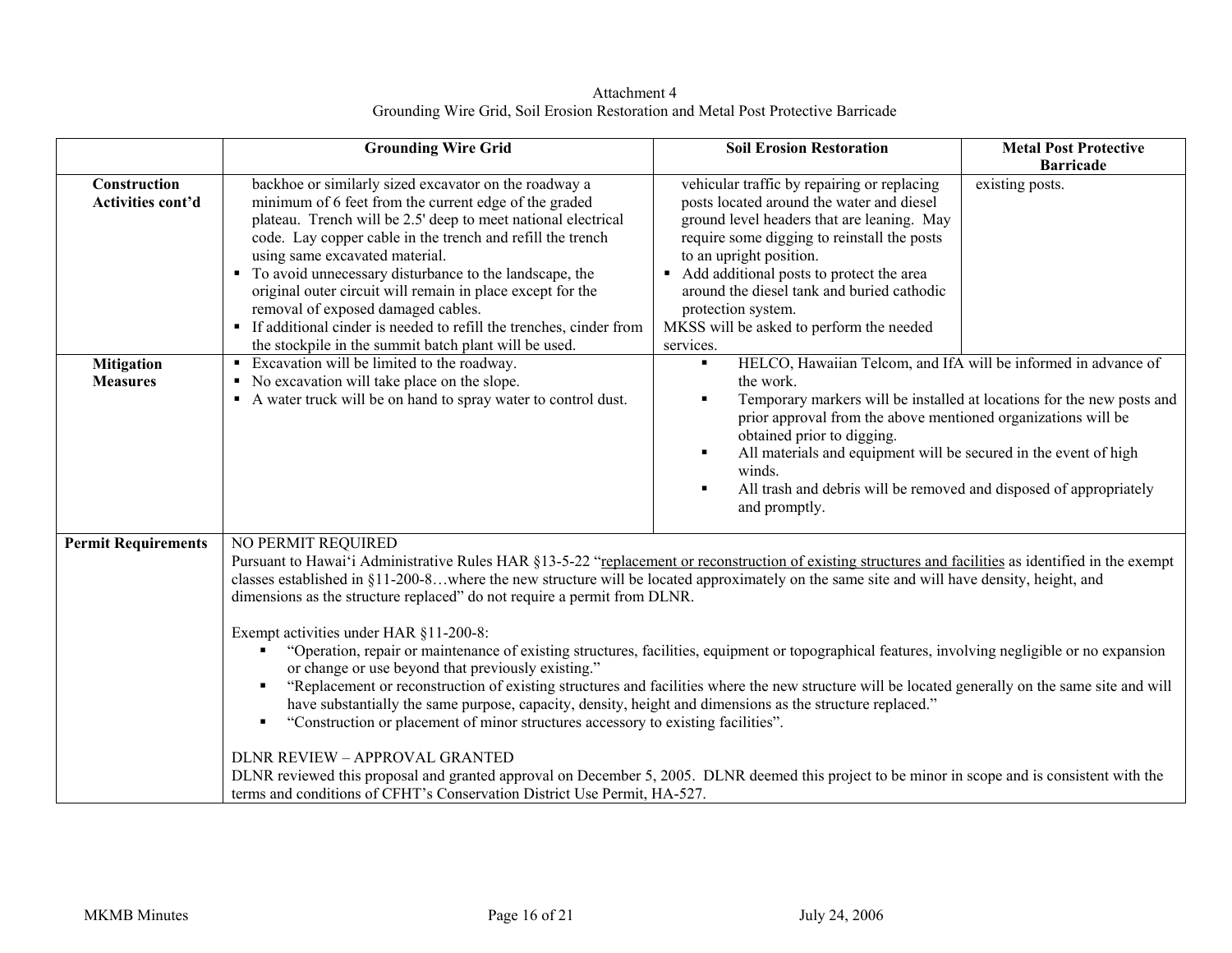Attachment 4 Grounding Wire Grid, Soil Erosion Restoration and Metal Post Protective Barricade

|                                      | <b>Grounding Wire Grid</b>                                                                                                                                                                                                                                                                                                                                                                                                                                                                                                                                                                                                                                                                                                                                                                                                                                                                                                                                                                                                                                                                                                                                                                                                                                                          | <b>Soil Erosion Restoration</b>                                                                                                                                                                                                                                                                                                                                                                                                                               | <b>Metal Post Protective</b> |
|--------------------------------------|-------------------------------------------------------------------------------------------------------------------------------------------------------------------------------------------------------------------------------------------------------------------------------------------------------------------------------------------------------------------------------------------------------------------------------------------------------------------------------------------------------------------------------------------------------------------------------------------------------------------------------------------------------------------------------------------------------------------------------------------------------------------------------------------------------------------------------------------------------------------------------------------------------------------------------------------------------------------------------------------------------------------------------------------------------------------------------------------------------------------------------------------------------------------------------------------------------------------------------------------------------------------------------------|---------------------------------------------------------------------------------------------------------------------------------------------------------------------------------------------------------------------------------------------------------------------------------------------------------------------------------------------------------------------------------------------------------------------------------------------------------------|------------------------------|
|                                      |                                                                                                                                                                                                                                                                                                                                                                                                                                                                                                                                                                                                                                                                                                                                                                                                                                                                                                                                                                                                                                                                                                                                                                                                                                                                                     |                                                                                                                                                                                                                                                                                                                                                                                                                                                               | <b>Barricade</b>             |
| Construction<br>Activities cont'd    | backhoe or similarly sized excavator on the roadway a<br>minimum of 6 feet from the current edge of the graded<br>plateau. Trench will be 2.5' deep to meet national electrical<br>code. Lay copper cable in the trench and refill the trench<br>using same excavated material.<br>• To avoid unnecessary disturbance to the landscape, the<br>original outer circuit will remain in place except for the<br>removal of exposed damaged cables.<br>• If additional cinder is needed to refill the trenches, cinder from<br>the stockpile in the summit batch plant will be used.                                                                                                                                                                                                                                                                                                                                                                                                                                                                                                                                                                                                                                                                                                    | vehicular traffic by repairing or replacing<br>posts located around the water and diesel<br>ground level headers that are leaning. May<br>require some digging to reinstall the posts<br>to an upright position.<br>• Add additional posts to protect the area<br>around the diesel tank and buried cathodic<br>protection system.<br>MKSS will be asked to perform the needed<br>services.                                                                   | existing posts.              |
| <b>Mitigation</b><br><b>Measures</b> | • Excavation will be limited to the roadway.<br>• No excavation will take place on the slope.<br>• A water truck will be on hand to spray water to control dust.                                                                                                                                                                                                                                                                                                                                                                                                                                                                                                                                                                                                                                                                                                                                                                                                                                                                                                                                                                                                                                                                                                                    | HELCO, Hawaiian Telcom, and IfA will be informed in advance of<br>$\blacksquare$<br>the work.<br>Temporary markers will be installed at locations for the new posts and<br>$\blacksquare$<br>prior approval from the above mentioned organizations will be<br>obtained prior to digging.<br>All materials and equipment will be secured in the event of high<br>winds.<br>All trash and debris will be removed and disposed of appropriately<br>and promptly. |                              |
| <b>Permit Requirements</b>           | NO PERMIT REQUIRED<br>Pursuant to Hawai'i Administrative Rules HAR §13-5-22 "replacement or reconstruction of existing structures and facilities as identified in the exempt<br>classes established in §11-200-8where the new structure will be located approximately on the same site and will have density, height, and<br>dimensions as the structure replaced" do not require a permit from DLNR.<br>Exempt activities under HAR §11-200-8:<br>"Operation, repair or maintenance of existing structures, facilities, equipment or topographical features, involving negligible or no expansion<br>or change or use beyond that previously existing."<br>"Replacement or reconstruction of existing structures and facilities where the new structure will be located generally on the same site and will<br>have substantially the same purpose, capacity, density, height and dimensions as the structure replaced."<br>"Construction or placement of minor structures accessory to existing facilities".<br>п<br>DLNR REVIEW - APPROVAL GRANTED<br>DLNR reviewed this proposal and granted approval on December 5, 2005. DLNR deemed this project to be minor in scope and is consistent with the<br>terms and conditions of CFHT's Conservation District Use Permit, HA-527. |                                                                                                                                                                                                                                                                                                                                                                                                                                                               |                              |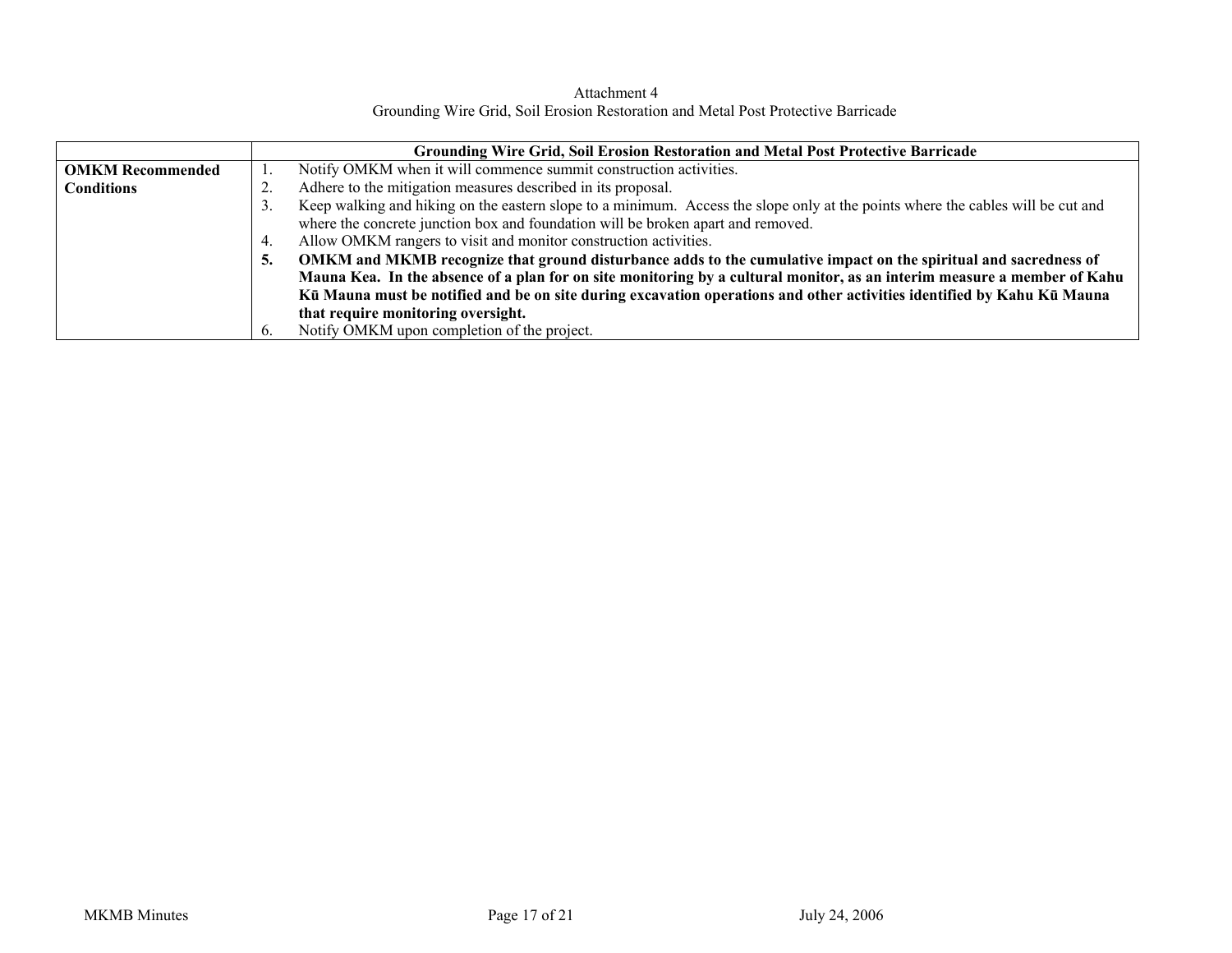Attachment 4 Grounding Wire Grid, Soil Erosion Restoration and Metal Post Protective Barricade

|                         | <b>Grounding Wire Grid, Soil Erosion Restoration and Metal Post Protective Barricade</b>                                                         |  |
|-------------------------|--------------------------------------------------------------------------------------------------------------------------------------------------|--|
| <b>OMKM Recommended</b> | Notify OMKM when it will commence summit construction activities.                                                                                |  |
| <b>Conditions</b>       | Adhere to the mitigation measures described in its proposal.<br>∠.                                                                               |  |
|                         | Keep walking and hiking on the eastern slope to a minimum. Access the slope only at the points where the cables will be cut and<br>$\mathcal{L}$ |  |
|                         | where the concrete junction box and foundation will be broken apart and removed.                                                                 |  |
|                         | Allow OMKM rangers to visit and monitor construction activities.<br>4.                                                                           |  |
|                         | OMKM and MKMB recognize that ground disturbance adds to the cumulative impact on the spiritual and sacredness of<br>5.                           |  |
|                         | Mauna Kea. In the absence of a plan for on site monitoring by a cultural monitor, as an interim measure a member of Kahu                         |  |
|                         | Kū Mauna must be notified and be on site during excavation operations and other activities identified by Kahu Kū Mauna                           |  |
|                         | that require monitoring oversight.                                                                                                               |  |
|                         | Notify OMKM upon completion of the project.<br>$\mathbf b$                                                                                       |  |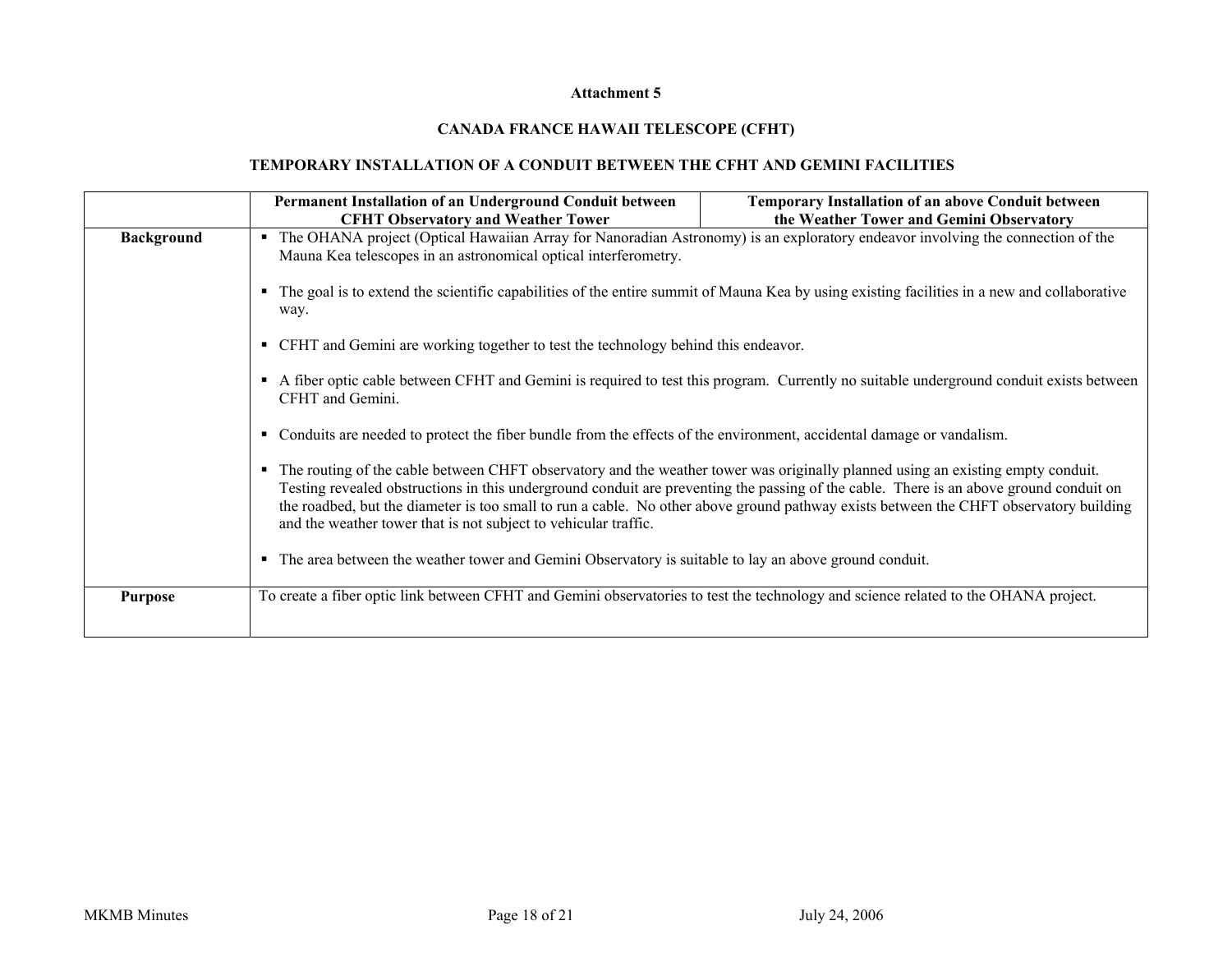#### **Attachment 5**

# **CANADA FRANCE HAWAII TELESCOPE (CFHT)**

#### **TEMPORARY INSTALLATION OF A CONDUIT BETWEEN THE CFHT AND GEMINI FACILITIES**

|                   | Permanent Installation of an Underground Conduit between                                                                                                                                                                                                                                                                                                                                                                                                                                                                                                                                      | Temporary Installation of an above Conduit between                                                                                                                                                                                                                                                                                                                                                                                                                                                                                                                                                                                                      |  |
|-------------------|-----------------------------------------------------------------------------------------------------------------------------------------------------------------------------------------------------------------------------------------------------------------------------------------------------------------------------------------------------------------------------------------------------------------------------------------------------------------------------------------------------------------------------------------------------------------------------------------------|---------------------------------------------------------------------------------------------------------------------------------------------------------------------------------------------------------------------------------------------------------------------------------------------------------------------------------------------------------------------------------------------------------------------------------------------------------------------------------------------------------------------------------------------------------------------------------------------------------------------------------------------------------|--|
|                   | <b>CFHT Observatory and Weather Tower</b>                                                                                                                                                                                                                                                                                                                                                                                                                                                                                                                                                     | the Weather Tower and Gemini Observatory                                                                                                                                                                                                                                                                                                                                                                                                                                                                                                                                                                                                                |  |
| <b>Background</b> | • The OHANA project (Optical Hawaiian Array for Nanoradian Astronomy) is an exploratory endeavor involving the connection of the<br>Mauna Kea telescopes in an astronomical optical interferometry.<br>• The goal is to extend the scientific capabilities of the entire summit of Mauna Kea by using existing facilities in a new and collaborative<br>way.<br>• CFHT and Gemini are working together to test the technology behind this endeavor.<br>A fiber optic cable between CFHT and Gemini is required to test this program. Currently no suitable underground conduit exists between |                                                                                                                                                                                                                                                                                                                                                                                                                                                                                                                                                                                                                                                         |  |
|                   | CFHT and Gemini.<br>and the weather tower that is not subject to vehicular traffic.                                                                                                                                                                                                                                                                                                                                                                                                                                                                                                           | • Conduits are needed to protect the fiber bundle from the effects of the environment, accidental damage or vandalism.<br>The routing of the cable between CHFT observatory and the weather tower was originally planned using an existing empty conduit.<br>Testing revealed obstructions in this underground conduit are preventing the passing of the cable. There is an above ground conduit on<br>the roadbed, but the diameter is too small to run a cable. No other above ground pathway exists between the CHFT observatory building<br>• The area between the weather tower and Gemini Observatory is suitable to lay an above ground conduit. |  |
| <b>Purpose</b>    | To create a fiber optic link between CFHT and Gemini observatories to test the technology and science related to the OHANA project.                                                                                                                                                                                                                                                                                                                                                                                                                                                           |                                                                                                                                                                                                                                                                                                                                                                                                                                                                                                                                                                                                                                                         |  |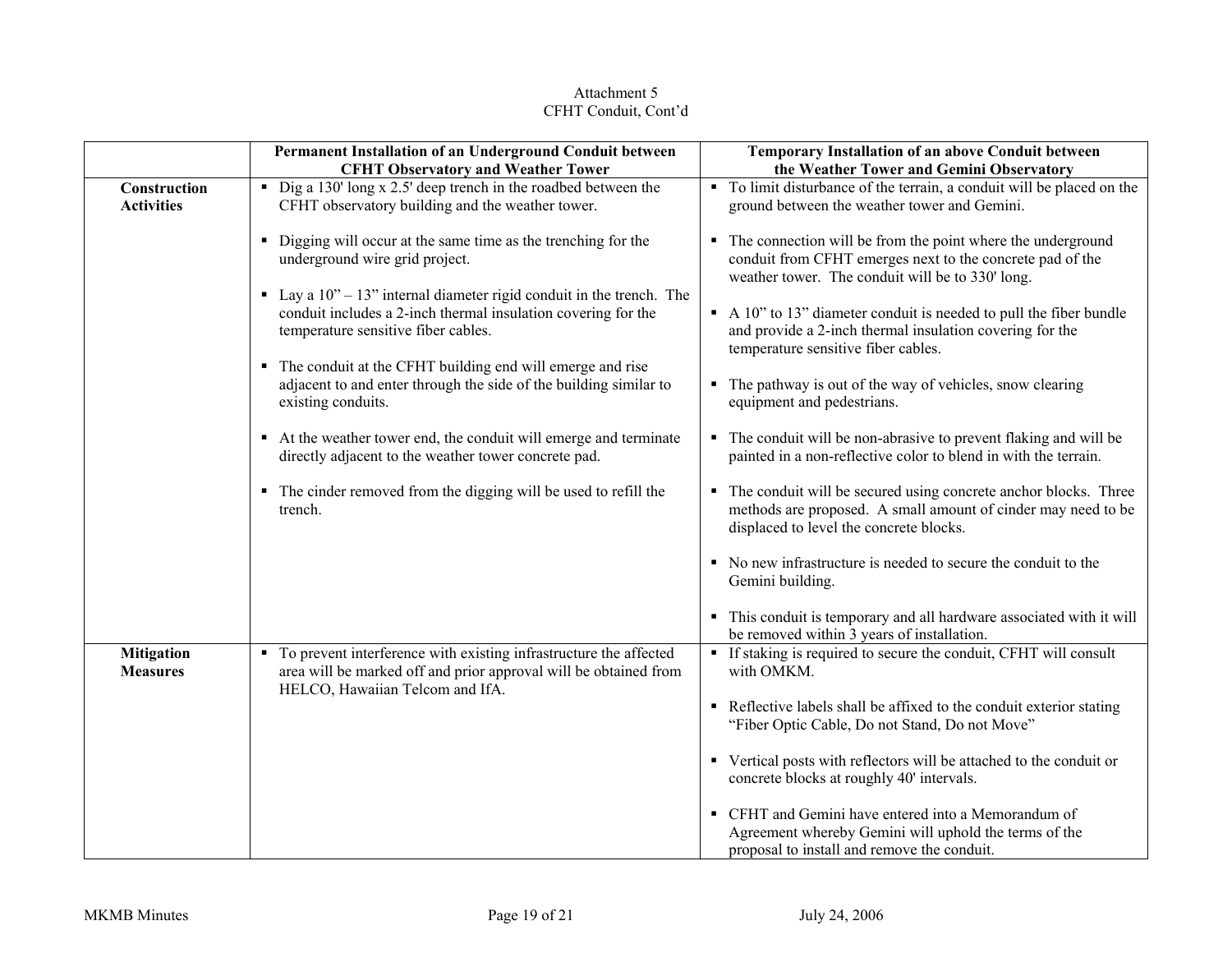## Attachment 5 CFHT Conduit, Cont'd

|                                      | Permanent Installation of an Underground Conduit between<br><b>CFHT Observatory and Weather Tower</b>                                                                                 | <b>Temporary Installation of an above Conduit between</b><br>the Weather Tower and Gemini Observatory                                                                          |
|--------------------------------------|---------------------------------------------------------------------------------------------------------------------------------------------------------------------------------------|--------------------------------------------------------------------------------------------------------------------------------------------------------------------------------|
| Construction<br><b>Activities</b>    | $\blacksquare$ Dig a 130' long x 2.5' deep trench in the roadbed between the<br>CFHT observatory building and the weather tower.                                                      | • To limit disturbance of the terrain, a conduit will be placed on the<br>ground between the weather tower and Gemini.                                                         |
|                                      | • Digging will occur at the same time as the trenching for the<br>underground wire grid project.                                                                                      | • The connection will be from the point where the underground<br>conduit from CFHT emerges next to the concrete pad of the<br>weather tower. The conduit will be to 330' long. |
|                                      | • Lay a $10^{\circ}$ – 13" internal diameter rigid conduit in the trench. The<br>conduit includes a 2-inch thermal insulation covering for the<br>temperature sensitive fiber cables. | • A 10" to 13" diameter conduit is needed to pull the fiber bundle<br>and provide a 2-inch thermal insulation covering for the<br>temperature sensitive fiber cables.          |
|                                      | The conduit at the CFHT building end will emerge and rise<br>adjacent to and enter through the side of the building similar to<br>existing conduits.                                  | The pathway is out of the way of vehicles, snow clearing<br>equipment and pedestrians.                                                                                         |
|                                      | At the weather tower end, the conduit will emerge and terminate<br>directly adjacent to the weather tower concrete pad.                                                               | • The conduit will be non-abrasive to prevent flaking and will be<br>painted in a non-reflective color to blend in with the terrain.                                           |
|                                      | • The cinder removed from the digging will be used to refill the<br>trench.                                                                                                           | • The conduit will be secured using concrete anchor blocks. Three<br>methods are proposed. A small amount of cinder may need to be<br>displaced to level the concrete blocks.  |
|                                      |                                                                                                                                                                                       | • No new infrastructure is needed to secure the conduit to the<br>Gemini building.                                                                                             |
|                                      |                                                                                                                                                                                       | • This conduit is temporary and all hardware associated with it will<br>be removed within 3 years of installation.                                                             |
| <b>Mitigation</b><br><b>Measures</b> | • To prevent interference with existing infrastructure the affected<br>area will be marked off and prior approval will be obtained from<br>HELCO, Hawaiian Telcom and IfA.            | • If staking is required to secure the conduit, CFHT will consult<br>with OMKM.                                                                                                |
|                                      |                                                                                                                                                                                       | • Reflective labels shall be affixed to the conduit exterior stating<br>"Fiber Optic Cable, Do not Stand, Do not Move"                                                         |
|                                      |                                                                                                                                                                                       | • Vertical posts with reflectors will be attached to the conduit or<br>concrete blocks at roughly 40' intervals.                                                               |
|                                      |                                                                                                                                                                                       | • CFHT and Gemini have entered into a Memorandum of<br>Agreement whereby Gemini will uphold the terms of the<br>proposal to install and remove the conduit.                    |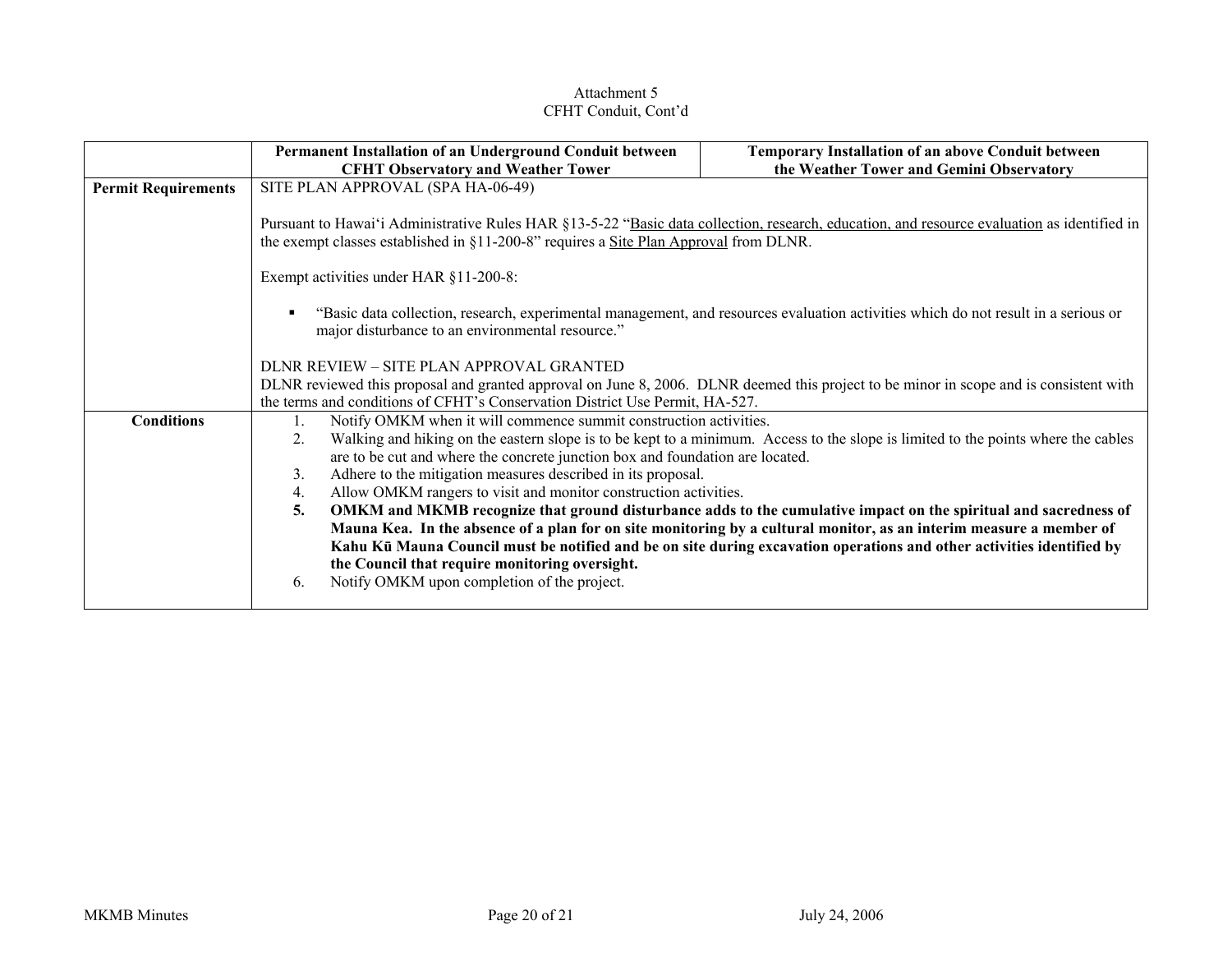### Attachment 5 CFHT Conduit, Cont'd

|                            | Permanent Installation of an Underground Conduit between                                                                               | <b>Temporary Installation of an above Conduit between</b>                                                                                   |
|----------------------------|----------------------------------------------------------------------------------------------------------------------------------------|---------------------------------------------------------------------------------------------------------------------------------------------|
|                            | <b>CFHT Observatory and Weather Tower</b>                                                                                              | the Weather Tower and Gemini Observatory                                                                                                    |
| <b>Permit Requirements</b> | SITE PLAN APPROVAL (SPA HA-06-49)                                                                                                      |                                                                                                                                             |
|                            |                                                                                                                                        |                                                                                                                                             |
|                            |                                                                                                                                        | Pursuant to Hawai'i Administrative Rules HAR §13-5-22 "Basic data collection, research, education, and resource evaluation as identified in |
|                            | the exempt classes established in $\S11$ -200-8" requires a Site Plan Approval from DLNR.                                              |                                                                                                                                             |
|                            | Exempt activities under HAR §11-200-8:                                                                                                 |                                                                                                                                             |
|                            | п<br>major disturbance to an environmental resource."                                                                                  | "Basic data collection, research, experimental management, and resources evaluation activities which do not result in a serious or          |
|                            | DLNR REVIEW - SITE PLAN APPROVAL GRANTED                                                                                               |                                                                                                                                             |
|                            | DLNR reviewed this proposal and granted approval on June 8, 2006. DLNR deemed this project to be minor in scope and is consistent with |                                                                                                                                             |
|                            | the terms and conditions of CFHT's Conservation District Use Permit, HA-527.                                                           |                                                                                                                                             |
| <b>Conditions</b>          | Notify OMKM when it will commence summit construction activities.                                                                      |                                                                                                                                             |
|                            | 2.                                                                                                                                     | Walking and hiking on the eastern slope is to be kept to a minimum. Access to the slope is limited to the points where the cables           |
|                            | are to be cut and where the concrete junction box and foundation are located.                                                          |                                                                                                                                             |
|                            | Adhere to the mitigation measures described in its proposal.<br>3.                                                                     |                                                                                                                                             |
|                            | Allow OMKM rangers to visit and monitor construction activities.<br>4.                                                                 |                                                                                                                                             |
|                            | 5.                                                                                                                                     | OMKM and MKMB recognize that ground disturbance adds to the cumulative impact on the spiritual and sacredness of                            |
|                            |                                                                                                                                        | Mauna Kea. In the absence of a plan for on site monitoring by a cultural monitor, as an interim measure a member of                         |
|                            |                                                                                                                                        | Kahu Kū Mauna Council must be notified and be on site during excavation operations and other activities identified by                       |
|                            | the Council that require monitoring oversight.                                                                                         |                                                                                                                                             |
|                            | Notify OMKM upon completion of the project.<br>6.                                                                                      |                                                                                                                                             |
|                            |                                                                                                                                        |                                                                                                                                             |